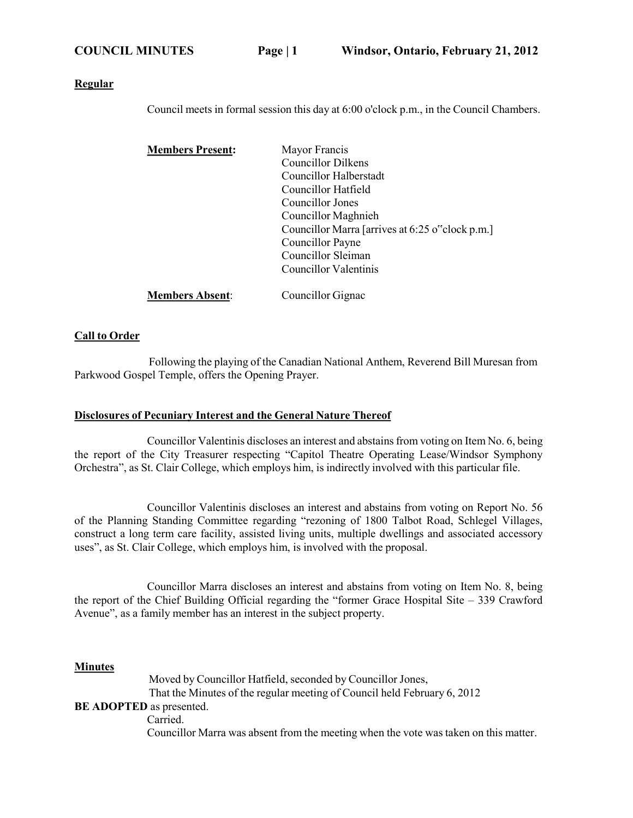#### **Regular**

Council meets in formal session this day at 6:00 o'clock p.m., in the Council Chambers.

| <b>Members Present:</b> | Mayor Francis                                   |
|-------------------------|-------------------------------------------------|
|                         | <b>Councillor Dilkens</b>                       |
|                         | Councillor Halberstadt                          |
|                         | Councillor Hatfield                             |
|                         | Councillor Jones                                |
|                         | Councillor Maghnieh                             |
|                         | Councillor Marra [arrives at 6:25 o"clock p.m.] |
|                         | Councillor Payne                                |
|                         | Councillor Sleiman                              |
|                         | Councillor Valentinis                           |
|                         |                                                 |

## **Members Absent:** Councillor Gignac

#### **Call to Order**

Following the playing of the Canadian National Anthem, Reverend Bill Muresan from Parkwood Gospel Temple, offers the Opening Prayer.

#### **Disclosures of Pecuniary Interest and the General Nature Thereof**

Councillor Valentinis discloses an interest and abstains from voting on Item No. 6, being the report of the City Treasurer respecting "Capitol Theatre Operating Lease/Windsor Symphony Orchestra", as St. Clair College, which employs him, is indirectly involved with this particular file.

Councillor Valentinis discloses an interest and abstains from voting on Report No. 56 of the Planning Standing Committee regarding "rezoning of 1800 Talbot Road, Schlegel Villages, construct a long term care facility, assisted living units, multiple dwellings and associated accessory uses", as St. Clair College, which employs him, is involved with the proposal.

Councillor Marra discloses an interest and abstains from voting on Item No. 8, being the report of the Chief Building Official regarding the "former Grace Hospital Site – 339 Crawford Avenue", as a family member has an interest in the subject property.

#### **Minutes**

Moved by Councillor Hatfield, seconded by Councillor Jones, That the Minutes of the regular meeting of Council held February 6, 2012 **BE ADOPTED** as presented. Carried.

Councillor Marra was absent from the meeting when the vote was taken on this matter.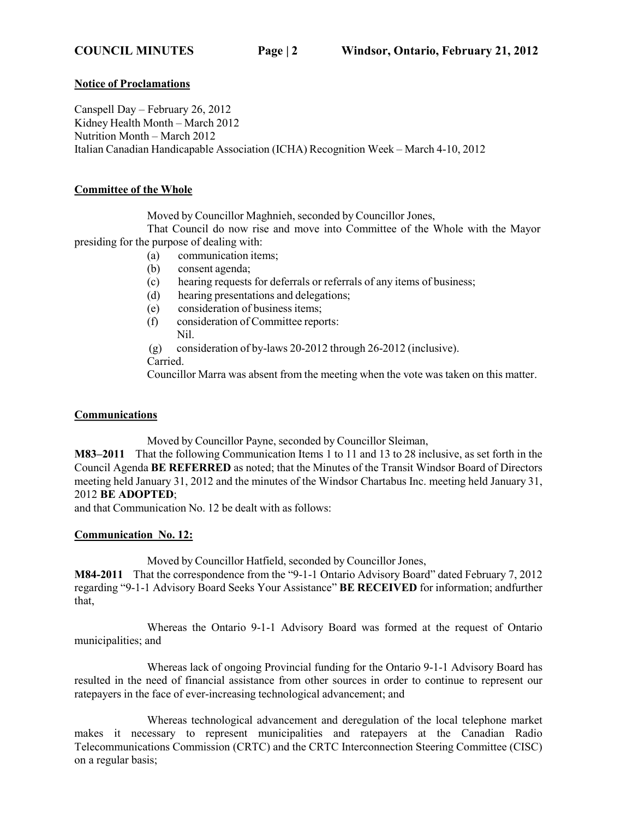#### **Notice of Proclamations**

Canspell Day – February 26, 2012 Kidney Health Month – March 2012 Nutrition Month – March 2012 Italian Canadian Handicapable Association (ICHA) Recognition Week – March 4-10, 2012

#### **Committee of the Whole**

Moved by Councillor Maghnieh, seconded by Councillor Jones,

That Council do now rise and move into Committee of the Whole with the Mayor presiding for the purpose of dealing with:

- (a) communication items;
- (b) consent agenda;
- (c) hearing requests for deferrals or referrals of any items of business;
- (d) hearing presentations and delegations;
- (e) consideration of business items;
- (f) consideration of Committee reports: Nil.
- (g) consideration of by-laws 20-2012 through 26-2012 (inclusive). Carried.

Councillor Marra was absent from the meeting when the vote was taken on this matter.

## **Communications**

Moved by Councillor Payne, seconded by Councillor Sleiman,

**M83–2011** That the following Communication Items 1 to 11 and 13 to 28 inclusive, as set forth in the Council Agenda **BE REFERRED** as noted; that the Minutes of the Transit Windsor Board of Directors meeting held January 31, 2012 and the minutes of the Windsor Chartabus Inc. meeting held January 31, 2012 **BE ADOPTED**;

and that Communication No. 12 be dealt with as follows:

## **Communication No. 12:**

Moved by Councillor Hatfield, seconded by Councillor Jones,

**M84-2011** That the correspondence from the "9-1-1 Ontario Advisory Board" dated February 7, 2012 regarding "9-1-1 Advisory Board Seeks Your Assistance" **BE RECEIVED** for information; andfurther that,

Whereas the Ontario 9-1-1 Advisory Board was formed at the request of Ontario municipalities; and

Whereas lack of ongoing Provincial funding for the Ontario 9-1-1 Advisory Board has resulted in the need of financial assistance from other sources in order to continue to represent our ratepayers in the face of ever-increasing technological advancement; and

Whereas technological advancement and deregulation of the local telephone market makes it necessary to represent municipalities and ratepayers at the Canadian Radio Telecommunications Commission (CRTC) and the CRTC Interconnection Steering Committee (CISC) on a regular basis;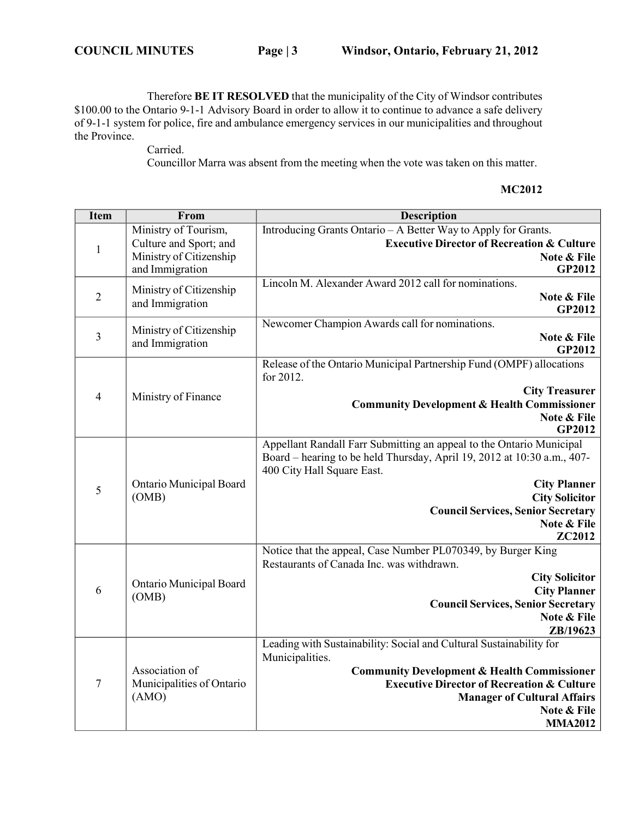Therefore **BE IT RESOLVED** that the municipality of the City of Windsor contributes \$100.00 to the Ontario 9-1-1 Advisory Board in order to allow it to continue to advance a safe delivery of 9-1-1 system for police, fire and ambulance emergency services in our municipalities and throughout the Province.

Carried.

Councillor Marra was absent from the meeting when the vote was taken on this matter.

#### **MC2012**

| <b>Item</b>    | From                                                 | <b>Description</b>                                                      |
|----------------|------------------------------------------------------|-------------------------------------------------------------------------|
|                | Ministry of Tourism,                                 | Introducing Grants Ontario - A Better Way to Apply for Grants.          |
| $\mathbf{1}$   | Culture and Sport; and                               | <b>Executive Director of Recreation &amp; Culture</b>                   |
|                | Ministry of Citizenship                              | Note & File                                                             |
|                | and Immigration                                      | <b>GP2012</b>                                                           |
| $\sqrt{2}$     | Ministry of Citizenship                              | Lincoln M. Alexander Award 2012 call for nominations.<br>Note & File    |
|                | and Immigration                                      | <b>GP2012</b>                                                           |
|                |                                                      | Newcomer Champion Awards call for nominations.                          |
| $\overline{3}$ | Ministry of Citizenship                              | Note & File                                                             |
|                | and Immigration                                      | <b>GP2012</b>                                                           |
|                |                                                      | Release of the Ontario Municipal Partnership Fund (OMPF) allocations    |
|                |                                                      | for 2012.                                                               |
| $\overline{4}$ | Ministry of Finance                                  | <b>City Treasurer</b>                                                   |
|                |                                                      | <b>Community Development &amp; Health Commissioner</b>                  |
|                |                                                      | Note & File<br>GP2012                                                   |
|                |                                                      | Appellant Randall Farr Submitting an appeal to the Ontario Municipal    |
|                |                                                      | Board – hearing to be held Thursday, April 19, 2012 at 10:30 a.m., 407- |
|                |                                                      | 400 City Hall Square East.                                              |
|                | Ontario Municipal Board<br>(OMB)                     | <b>City Planner</b>                                                     |
| 5              |                                                      | <b>City Solicitor</b>                                                   |
|                |                                                      | <b>Council Services, Senior Secretary</b>                               |
|                |                                                      | Note & File                                                             |
|                |                                                      | ZC2012                                                                  |
|                | Ontario Municipal Board<br>(OMB)                     | Notice that the appeal, Case Number PL070349, by Burger King            |
|                |                                                      | Restaurants of Canada Inc. was withdrawn.                               |
| 6              |                                                      | <b>City Solicitor</b><br><b>City Planner</b>                            |
|                |                                                      | <b>Council Services, Senior Secretary</b>                               |
|                |                                                      | Note & File                                                             |
|                |                                                      | ZB/19623                                                                |
| $\tau$         | Association of<br>Municipalities of Ontario<br>(AMO) | Leading with Sustainability: Social and Cultural Sustainability for     |
|                |                                                      | Municipalities.                                                         |
|                |                                                      | <b>Community Development &amp; Health Commissioner</b>                  |
|                |                                                      | <b>Executive Director of Recreation &amp; Culture</b>                   |
|                |                                                      | <b>Manager of Cultural Affairs</b>                                      |
|                |                                                      | Note & File                                                             |
|                |                                                      | <b>MMA2012</b>                                                          |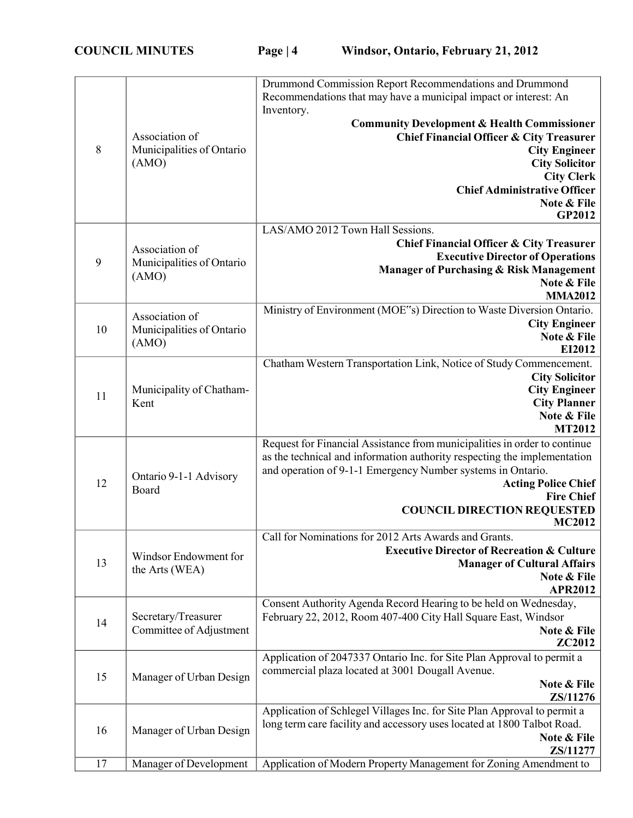|    |                           | Drummond Commission Report Recommendations and Drummond                                    |
|----|---------------------------|--------------------------------------------------------------------------------------------|
|    |                           | Recommendations that may have a municipal impact or interest: An                           |
|    |                           | Inventory.                                                                                 |
|    |                           | <b>Community Development &amp; Health Commissioner</b>                                     |
|    | Association of            | <b>Chief Financial Officer &amp; City Treasurer</b>                                        |
| 8  | Municipalities of Ontario | <b>City Engineer</b>                                                                       |
|    | (AMO)                     | <b>City Solicitor</b><br><b>City Clerk</b>                                                 |
|    |                           | <b>Chief Administrative Officer</b>                                                        |
|    |                           | Note & File                                                                                |
|    |                           | GP2012                                                                                     |
|    |                           | LAS/AMO 2012 Town Hall Sessions.                                                           |
|    | Association of            | <b>Chief Financial Officer &amp; City Treasurer</b>                                        |
| 9  | Municipalities of Ontario | <b>Executive Director of Operations</b>                                                    |
|    | (AMO)                     | Manager of Purchasing & Risk Management                                                    |
|    |                           | Note & File                                                                                |
|    |                           | <b>MMA2012</b><br>Ministry of Environment (MOE"s) Direction to Waste Diversion Ontario.    |
|    | Association of            | <b>City Engineer</b>                                                                       |
| 10 | Municipalities of Ontario | Note & File                                                                                |
|    | (AMO)                     | EI2012                                                                                     |
|    |                           | Chatham Western Transportation Link, Notice of Study Commencement.                         |
|    |                           | <b>City Solicitor</b>                                                                      |
| 11 | Municipality of Chatham-  | <b>City Engineer</b>                                                                       |
|    | Kent                      | <b>City Planner</b>                                                                        |
|    |                           | Note & File                                                                                |
|    |                           | <b>MT2012</b><br>Request for Financial Assistance from municipalities in order to continue |
|    |                           | as the technical and information authority respecting the implementation                   |
|    |                           | and operation of 9-1-1 Emergency Number systems in Ontario.                                |
| 12 | Ontario 9-1-1 Advisory    | <b>Acting Police Chief</b>                                                                 |
|    | Board                     | <b>Fire Chief</b>                                                                          |
|    |                           | <b>COUNCIL DIRECTION REQUESTED</b>                                                         |
|    |                           | <b>MC2012</b>                                                                              |
|    |                           | Call for Nominations for 2012 Arts Awards and Grants.                                      |
| 13 | Windsor Endowment for     | <b>Executive Director of Recreation &amp; Culture</b>                                      |
|    | the Arts (WEA)            | <b>Manager of Cultural Affairs</b><br>Note & File                                          |
|    |                           | <b>APR2012</b>                                                                             |
|    |                           | Consent Authority Agenda Record Hearing to be held on Wednesday,                           |
| 14 | Secretary/Treasurer       | February 22, 2012, Room 407-400 City Hall Square East, Windsor                             |
|    | Committee of Adjustment   | Note & File                                                                                |
|    |                           | ZC2012                                                                                     |
|    |                           | Application of 2047337 Ontario Inc. for Site Plan Approval to permit a                     |
| 15 | Manager of Urban Design   | commercial plaza located at 3001 Dougall Avenue.                                           |
|    |                           | Note & File                                                                                |
|    |                           | ZS/11276<br>Application of Schlegel Villages Inc. for Site Plan Approval to permit a       |
|    |                           | long term care facility and accessory uses located at 1800 Talbot Road.                    |
| 16 | Manager of Urban Design   | Note & File                                                                                |
|    |                           | ZS/11277                                                                                   |
| 17 | Manager of Development    | Application of Modern Property Management for Zoning Amendment to                          |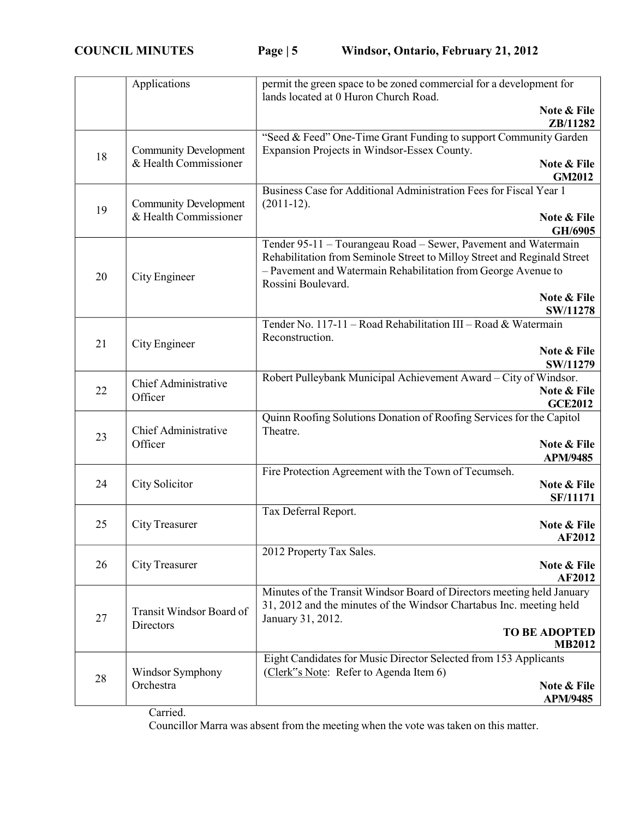|    | Applications                                          | permit the green space to be zoned commercial for a development for<br>lands located at 0 Huron Church Road.                                                                                                                      |
|----|-------------------------------------------------------|-----------------------------------------------------------------------------------------------------------------------------------------------------------------------------------------------------------------------------------|
|    |                                                       | Note & File<br>ZB/11282                                                                                                                                                                                                           |
| 18 | <b>Community Development</b><br>& Health Commissioner | "Seed & Feed" One-Time Grant Funding to support Community Garden<br>Expansion Projects in Windsor-Essex County.                                                                                                                   |
|    |                                                       | Note & File<br><b>GM2012</b>                                                                                                                                                                                                      |
|    | <b>Community Development</b>                          | Business Case for Additional Administration Fees for Fiscal Year 1<br>$(2011-12).$                                                                                                                                                |
| 19 | & Health Commissioner                                 | Note & File<br>GH/6905                                                                                                                                                                                                            |
| 20 | City Engineer                                         | Tender 95-11 - Tourangeau Road - Sewer, Pavement and Watermain<br>Rehabilitation from Seminole Street to Milloy Street and Reginald Street<br>- Pavement and Watermain Rehabilitation from George Avenue to<br>Rossini Boulevard. |
|    |                                                       | Note & File<br>SW/11278                                                                                                                                                                                                           |
| 21 |                                                       | Tender No. 117-11 - Road Rehabilitation III - Road & Watermain<br>Reconstruction.                                                                                                                                                 |
|    | City Engineer                                         | Note & File<br>SW/11279                                                                                                                                                                                                           |
| 22 | Chief Administrative<br>Officer                       | Robert Pulleybank Municipal Achievement Award - City of Windsor.<br>Note & File<br><b>GCE2012</b>                                                                                                                                 |
| 23 | Chief Administrative                                  | Quinn Roofing Solutions Donation of Roofing Services for the Capitol<br>Theatre.                                                                                                                                                  |
|    | Officer                                               | Note & File<br><b>APM/9485</b>                                                                                                                                                                                                    |
|    | City Solicitor                                        | Fire Protection Agreement with the Town of Tecumseh.                                                                                                                                                                              |
| 24 |                                                       | Note & File<br><b>SF/11171</b>                                                                                                                                                                                                    |
| 25 |                                                       | Tax Deferral Report.<br>Note & File                                                                                                                                                                                               |
|    | City Treasurer                                        | <b>AF2012</b>                                                                                                                                                                                                                     |
| 26 | City Treasurer                                        | 2012 Property Tax Sales.<br>Note & File                                                                                                                                                                                           |
|    |                                                       | <b>AF2012</b>                                                                                                                                                                                                                     |
| 27 | Transit Windsor Board of                              | Minutes of the Transit Windsor Board of Directors meeting held January<br>31, 2012 and the minutes of the Windsor Chartabus Inc. meeting held<br>January 31, 2012.                                                                |
|    | Directors                                             | <b>TO BE ADOPTED</b><br><b>MB2012</b>                                                                                                                                                                                             |
|    | Windsor Symphony                                      | Eight Candidates for Music Director Selected from 153 Applicants<br>(Clerk"s Note: Refer to Agenda Item 6)                                                                                                                        |
| 28 | Orchestra                                             | Note & File<br><b>APM/9485</b>                                                                                                                                                                                                    |

Carried.

Councillor Marra was absent from the meeting when the vote was taken on this matter.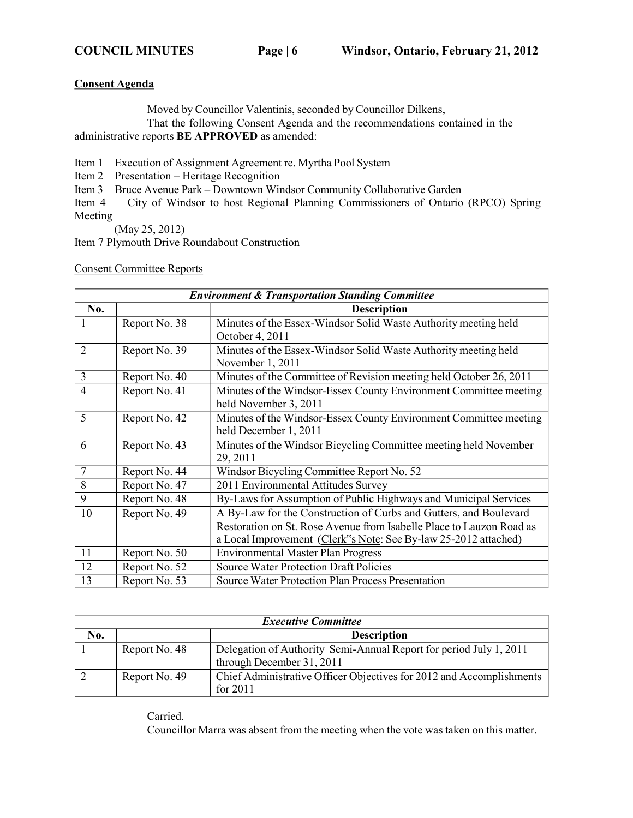#### **Consent Agenda**

Moved by Councillor Valentinis, seconded by Councillor Dilkens,

That the following Consent Agenda and the recommendations contained in the administrative reports **BE APPROVED** as amended:

Item 1 Execution of Assignment Agreement re. Myrtha Pool System

Item 2 Presentation – Heritage Recognition

Item 3 Bruce Avenue Park – Downtown Windsor Community Collaborative Garden

Item 4 City of Windsor to host Regional Planning Commissioners of Ontario (RPCO) Spring Meeting

(May 25, 2012)

Item 7 Plymouth Drive Roundabout Construction

Consent Committee Reports

| <b>Environment &amp; Transportation Standing Committee</b> |                    |                                                                      |  |
|------------------------------------------------------------|--------------------|----------------------------------------------------------------------|--|
| No.                                                        | <b>Description</b> |                                                                      |  |
| 1                                                          | Report No. 38      | Minutes of the Essex-Windsor Solid Waste Authority meeting held      |  |
|                                                            |                    | October 4, 2011                                                      |  |
| $\overline{2}$                                             | Report No. 39      | Minutes of the Essex-Windsor Solid Waste Authority meeting held      |  |
|                                                            |                    | November 1, 2011                                                     |  |
| 3                                                          | Report No. 40      | Minutes of the Committee of Revision meeting held October 26, 2011   |  |
| 4                                                          | Report No. 41      | Minutes of the Windsor-Essex County Environment Committee meeting    |  |
|                                                            |                    | held November 3, 2011                                                |  |
| 5                                                          | Report No. 42      | Minutes of the Windsor-Essex County Environment Committee meeting    |  |
|                                                            |                    | held December 1, 2011                                                |  |
| 6                                                          | Report No. 43      | Minutes of the Windsor Bicycling Committee meeting held November     |  |
|                                                            |                    | 29, 2011                                                             |  |
| $\overline{7}$                                             | Report No. 44      | Windsor Bicycling Committee Report No. 52                            |  |
| 8                                                          | Report No. 47      | 2011 Environmental Attitudes Survey                                  |  |
| 9                                                          | Report No. 48      | By-Laws for Assumption of Public Highways and Municipal Services     |  |
| 10                                                         | Report No. 49      | A By-Law for the Construction of Curbs and Gutters, and Boulevard    |  |
|                                                            |                    | Restoration on St. Rose Avenue from Isabelle Place to Lauzon Road as |  |
|                                                            |                    | a Local Improvement (Clerk"s Note: See By-law 25-2012 attached)      |  |
| 11                                                         | Report No. 50      | <b>Environmental Master Plan Progress</b>                            |  |
| 12                                                         | Report No. 52      | <b>Source Water Protection Draft Policies</b>                        |  |
| 13                                                         | Report No. 53      | <b>Source Water Protection Plan Process Presentation</b>             |  |

| <b>Executive Committee</b> |               |                                                                                                 |
|----------------------------|---------------|-------------------------------------------------------------------------------------------------|
| No.                        |               | <b>Description</b>                                                                              |
|                            | Report No. 48 | Delegation of Authority Semi-Annual Report for period July 1, 2011<br>through December 31, 2011 |
|                            | Report No. 49 | Chief Administrative Officer Objectives for 2012 and Accomplishments<br>for $2011$              |

Carried.

Councillor Marra was absent from the meeting when the vote was taken on this matter.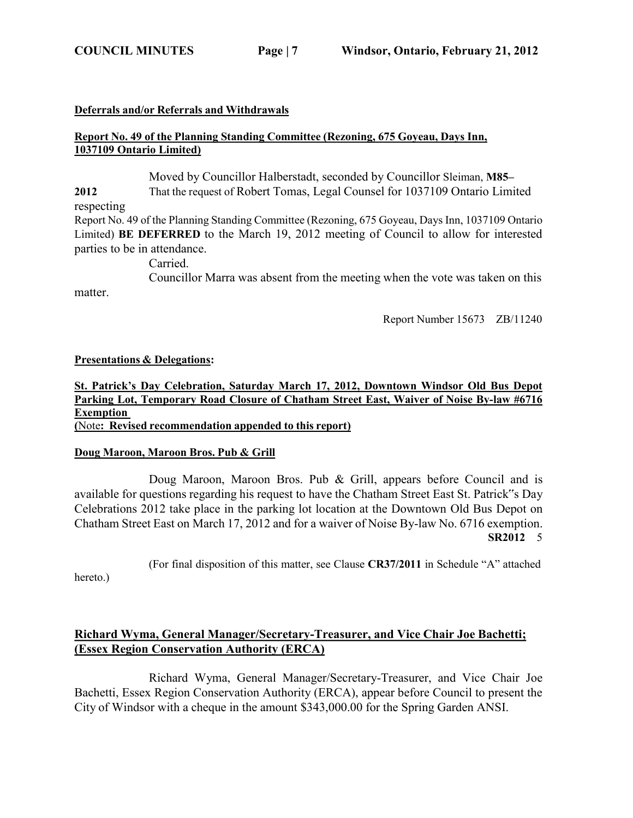#### **Deferrals and/or Referrals and Withdrawals**

### **Report No. 49 of the Planning Standing Committee (Rezoning, 675 Goyeau, Days Inn, 1037109 Ontario Limited)**

Moved by Councillor Halberstadt, seconded by Councillor Sleiman, **M85–**

**2012** That the request of Robert Tomas, Legal Counsel for 1037109 Ontario Limited respecting

Report No. 49 of the Planning Standing Committee (Rezoning, 675 Goyeau, Days Inn, 1037109 Ontario Limited) **BE DEFERRED** to the March 19, 2012 meeting of Council to allow for interested parties to be in attendance.

Carried.

Councillor Marra was absent from the meeting when the vote was taken on this

Report Number 15673 ZB/11240

#### **Presentations & Delegations:**

#### **St. Patrick's Day Celebration, Saturday March 17, 2012, Downtown Windsor Old Bus Depot Parking Lot, Temporary Road Closure of Chatham Street East, Waiver of Noise By-law #6716 Exemption (**Note**: Revised recommendation appended to this report)**

#### **Doug Maroon, Maroon Bros. Pub & Grill**

Doug Maroon, Maroon Bros. Pub & Grill, appears before Council and is available for questions regarding his request to have the Chatham Street East St. Patrick"s Day Celebrations 2012 take place in the parking lot location at the Downtown Old Bus Depot on Chatham Street East on March 17, 2012 and for a waiver of Noise By-law No. 6716 exemption. **SR2012** 5

(For final disposition of this matter, see Clause **CR37/2011** in Schedule "A" attached

hereto.)

matter.

## **Richard Wyma, General Manager/Secretary-Treasurer, and Vice Chair Joe Bachetti; (Essex Region Conservation Authority (ERCA)**

Richard Wyma, General Manager/Secretary-Treasurer, and Vice Chair Joe Bachetti, Essex Region Conservation Authority (ERCA), appear before Council to present the City of Windsor with a cheque in the amount \$343,000.00 for the Spring Garden ANSI.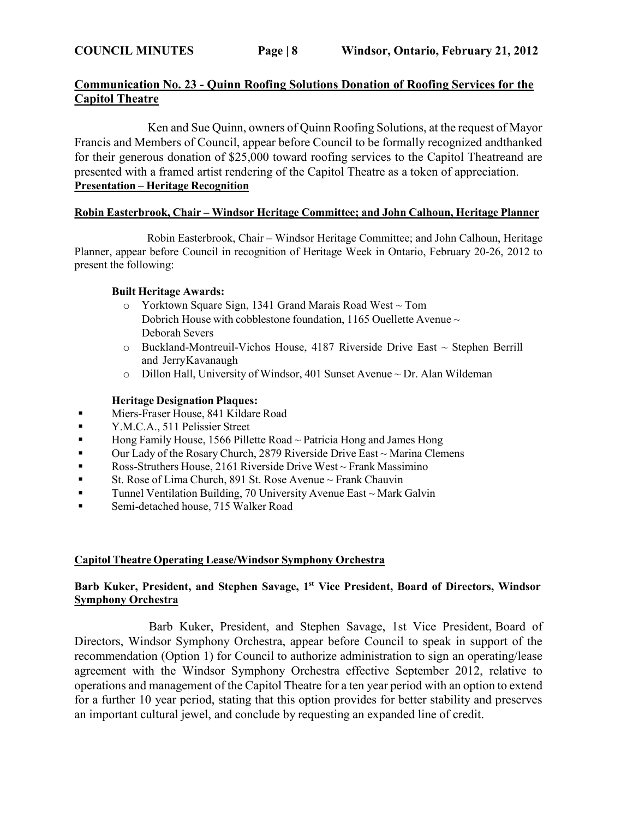## **Communication No. 23 - Quinn Roofing Solutions Donation of Roofing Services for the Capitol Theatre**

Ken and Sue Quinn, owners of Quinn Roofing Solutions, at the request of Mayor Francis and Members of Council, appear before Council to be formally recognized andthanked for their generous donation of \$25,000 toward roofing services to the Capitol Theatreand are presented with a framed artist rendering of the Capitol Theatre as a token of appreciation. **Presentation – Heritage Recognition**

#### **Robin Easterbrook, Chair – Windsor Heritage Committee; and John Calhoun, Heritage Planner**

Robin Easterbrook, Chair – Windsor Heritage Committee; and John Calhoun, Heritage Planner, appear before Council in recognition of Heritage Week in Ontario, February 20-26, 2012 to present the following:

#### **Built Heritage Awards:**

- o Yorktown Square Sign, 1341 Grand Marais Road West ~ Tom Dobrich House with cobblestone foundation, 1165 Ouellette Avenue ~ Deborah Severs
- $\circ$  Buckland-Montreuil-Vichos House, 4187 Riverside Drive East  $\sim$  Stephen Berrill and Jerry Kavanaugh
- $\circ$  Dillon Hall, University of Windsor, 401 Sunset Avenue  $\sim$  Dr. Alan Wildeman

## **Heritage Designation Plaques:**

- **EXECUTE:** Miers-Fraser House, 841 Kildare Road
- **EXALC.A., 511 Pelissier Street**
- $\blacksquare$  Hong Family House, 1566 Pillette Road ~ Patricia Hong and James Hong
- Our Lady of the Rosary Church, 2879 Riverside Drive East ~ Marina Clemens
- **•** Ross-Struthers House, 2161 Riverside Drive West ~ Frank Massimino
- **Example 1** St. Rose of Lima Church, 891 St. Rose Avenue  $\sim$  Frank Chauvin
- **Tunnel Ventilation Building, 70 University Avenue East ~ Mark Galvin**
- **Exercise Semi-detached house, 715 Walker Road**

## **Capitol Theatre Operating Lease/Windsor Symphony Orchestra**

#### **Barb Kuker, President, and Stephen Savage, 1 st Vice President, Board of Directors, Windsor Symphony Orchestra**

Barb Kuker, President, and Stephen Savage, 1st Vice President, Board of Directors, Windsor Symphony Orchestra, appear before Council to speak in support of the recommendation (Option 1) for Council to authorize administration to sign an operating/lease agreement with the Windsor Symphony Orchestra effective September 2012, relative to operations and management of the Capitol Theatre for a ten year period with an option to extend for a further 10 year period, stating that this option provides for better stability and preserves an important cultural jewel, and conclude by requesting an expanded line of credit.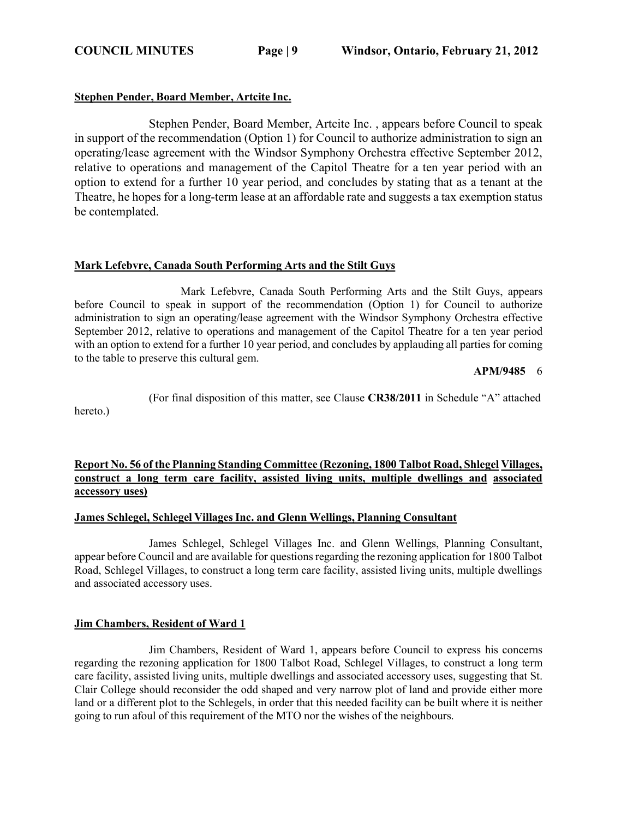### **Stephen Pender, Board Member, Artcite Inc.**

Stephen Pender, Board Member, Artcite Inc. , appears before Council to speak in support of the recommendation (Option 1) for Council to authorize administration to sign an operating/lease agreement with the Windsor Symphony Orchestra effective September 2012, relative to operations and management of the Capitol Theatre for a ten year period with an option to extend for a further 10 year period, and concludes by stating that as a tenant at the Theatre, he hopes for a long-term lease at an affordable rate and suggests a tax exemption status be contemplated.

#### **Mark Lefebvre, Canada South Performing Arts and the Stilt Guys**

Mark Lefebvre, Canada South Performing Arts and the Stilt Guys, appears before Council to speak in support of the recommendation (Option 1) for Council to authorize administration to sign an operating/lease agreement with the Windsor Symphony Orchestra effective September 2012, relative to operations and management of the Capitol Theatre for a ten year period with an option to extend for a further 10 year period, and concludes by applauding all parties for coming to the table to preserve this cultural gem.

**APM/9485** 6

(For final disposition of this matter, see Clause **CR38/2011** in Schedule "A" attached

hereto.)

## **Report No. 56 of the Planning Standing Committee (Rezoning, 1800 Talbot Road, Shlegel Villages, construct a long term care facility, assisted living units, multiple dwellings and associated accessory uses)**

#### **James Schlegel, Schlegel Villages Inc. and Glenn Wellings, Planning Consultant**

James Schlegel, Schlegel Villages Inc. and Glenn Wellings, Planning Consultant, appear before Council and are available for questions regarding the rezoning application for 1800 Talbot Road, Schlegel Villages, to construct a long term care facility, assisted living units, multiple dwellings and associated accessory uses.

#### **Jim Chambers, Resident of Ward 1**

Jim Chambers, Resident of Ward 1, appears before Council to express his concerns regarding the rezoning application for 1800 Talbot Road, Schlegel Villages, to construct a long term care facility, assisted living units, multiple dwellings and associated accessory uses, suggesting that St. Clair College should reconsider the odd shaped and very narrow plot of land and provide either more land or a different plot to the Schlegels, in order that this needed facility can be built where it is neither going to run afoul of this requirement of the MTO nor the wishes of the neighbours.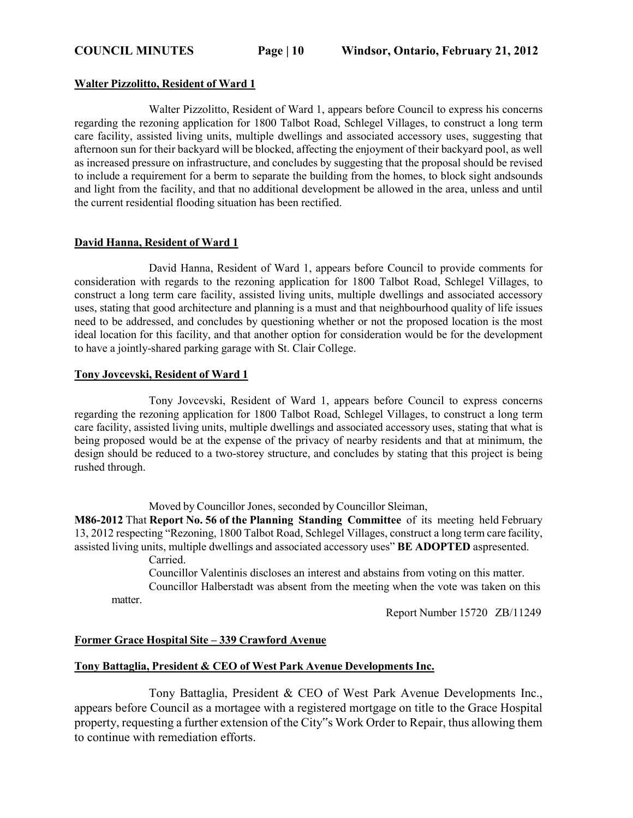#### **Walter Pizzolitto, Resident of Ward 1**

Walter Pizzolitto, Resident of Ward 1, appears before Council to express his concerns regarding the rezoning application for 1800 Talbot Road, Schlegel Villages, to construct a long term care facility, assisted living units, multiple dwellings and associated accessory uses, suggesting that afternoon sun for their backyard will be blocked, affecting the enjoyment of their backyard pool, as well as increased pressure on infrastructure, and concludes by suggesting that the proposal should be revised to include a requirement for a berm to separate the building from the homes, to block sight andsounds and light from the facility, and that no additional development be allowed in the area, unless and until the current residential flooding situation has been rectified.

#### **David Hanna, Resident of Ward 1**

David Hanna, Resident of Ward 1, appears before Council to provide comments for consideration with regards to the rezoning application for 1800 Talbot Road, Schlegel Villages, to construct a long term care facility, assisted living units, multiple dwellings and associated accessory uses, stating that good architecture and planning is a must and that neighbourhood quality of life issues need to be addressed, and concludes by questioning whether or not the proposed location is the most ideal location for this facility, and that another option for consideration would be for the development to have a jointly-shared parking garage with St. Clair College.

#### **Tony Jovcevski, Resident of Ward 1**

Tony Jovcevski, Resident of Ward 1, appears before Council to express concerns regarding the rezoning application for 1800 Talbot Road, Schlegel Villages, to construct a long term care facility, assisted living units, multiple dwellings and associated accessory uses, stating that what is being proposed would be at the expense of the privacy of nearby residents and that at minimum, the design should be reduced to a two-storey structure, and concludes by stating that this project is being rushed through.

Moved by Councillor Jones, seconded by Councillor Sleiman,

**M86-2012** That **Report No. 56 of the Planning Standing Committee** of its meeting held February 13, 2012 respecting "Rezoning, 1800 Talbot Road, Schlegel Villages, construct a long term care facility, assisted living units, multiple dwellings and associated accessory uses" **BE ADOPTED** aspresented.

Carried.

matter. Councillor Valentinis discloses an interest and abstains from voting on this matter. Councillor Halberstadt was absent from the meeting when the vote was taken on this

Report Number 15720 ZB/11249

#### **Former Grace Hospital Site – 339 Crawford Avenue**

#### **Tony Battaglia, President & CEO of West Park Avenue Developments Inc.**

Tony Battaglia, President & CEO of West Park Avenue Developments Inc., appears before Council as a mortagee with a registered mortgage on title to the Grace Hospital property, requesting a further extension of the City"s Work Order to Repair, thus allowing them to continue with remediation efforts.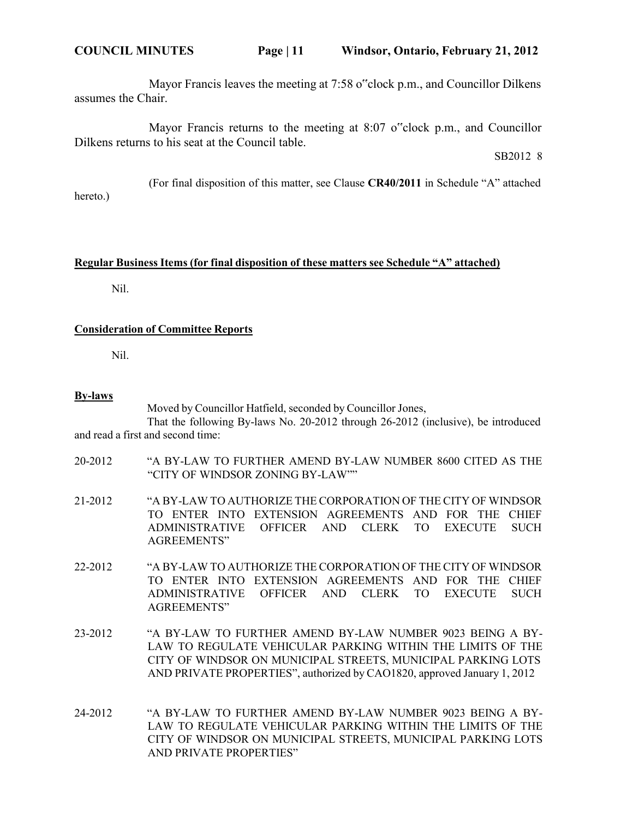Mayor Francis leaves the meeting at 7:58 o"clock p.m., and Councillor Dilkens assumes the Chair.

Mayor Francis returns to the meeting at 8:07 o"clock p.m., and Councillor Dilkens returns to his seat at the Council table.

SB2012 8

(For final disposition of this matter, see Clause **CR40/2011** in Schedule "A" attached hereto.)

#### **Regular Business Items (for final disposition of these matters see Schedule "A" attached)**

Nil.

#### **Consideration of Committee Reports**

Nil.

#### **By-laws**

Moved by Councillor Hatfield, seconded by Councillor Jones,

That the following By-laws No. 20-2012 through 26-2012 (inclusive), be introduced and read a first and second time:

- 20-2012 "A BY-LAW TO FURTHER AMEND BY-LAW NUMBER 8600 CITED AS THE "CITY OF WINDSOR ZONING BY-LAW""
- 21-2012 "A BY-LAW TO AUTHORIZE THE CORPORATION OF THE CITY OF WINDSOR TO ENTER INTO EXTENSION AGREEMENTS AND FOR THE CHIEF ADMINISTRATIVE OFFICER AND CLERK TO EXECUTE SUCH AGREEMENTS"
- 22-2012 "A BY-LAW TO AUTHORIZE THE CORPORATION OF THE CITY OF WINDSOR TO ENTER INTO EXTENSION AGREEMENTS AND FOR THE CHIEF ADMINISTRATIVE OFFICER AND CLERK TO EXECUTE SUCH AGREEMENTS"
- 23-2012 "A BY-LAW TO FURTHER AMEND BY-LAW NUMBER 9023 BEING A BY-LAW TO REGULATE VEHICULAR PARKING WITHIN THE LIMITS OF THE CITY OF WINDSOR ON MUNICIPAL STREETS, MUNICIPAL PARKING LOTS AND PRIVATE PROPERTIES", authorized by CAO1820, approved January 1, 2012
- 24-2012 "A BY-LAW TO FURTHER AMEND BY-LAW NUMBER 9023 BEING A BY-LAW TO REGULATE VEHICULAR PARKING WITHIN THE LIMITS OF THE CITY OF WINDSOR ON MUNICIPAL STREETS, MUNICIPAL PARKING LOTS AND PRIVATE PROPERTIES"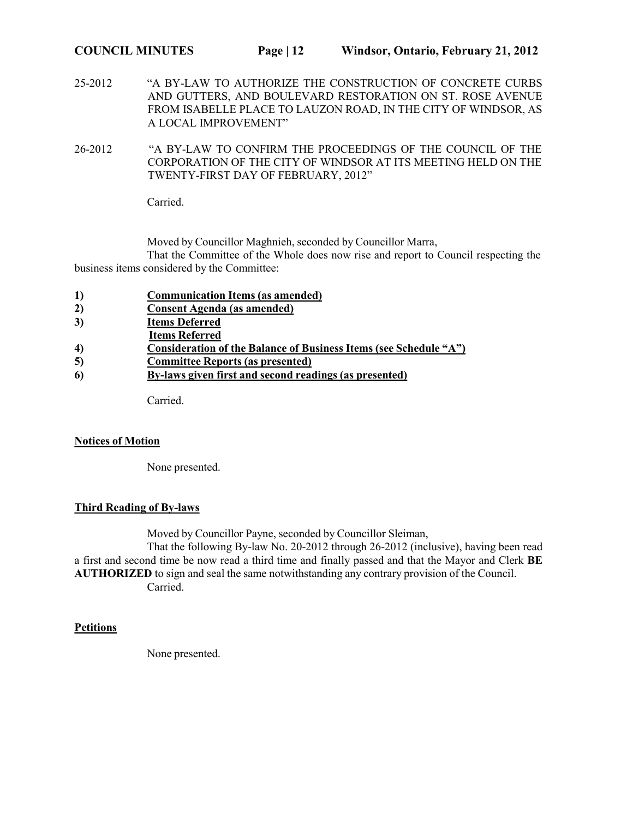25-2012 "A BY-LAW TO AUTHORIZE THE CONSTRUCTION OF CONCRETE CURBS AND GUTTERS, AND BOULEVARD RESTORATION ON ST. ROSE AVENUE FROM ISABELLE PLACE TO LAUZON ROAD, IN THE CITY OF WINDSOR, AS A LOCAL IMPROVEMENT"

26-2012 "A BY-LAW TO CONFIRM THE PROCEEDINGS OF THE COUNCIL OF THE CORPORATION OF THE CITY OF WINDSOR AT ITS MEETING HELD ON THE TWENTY-FIRST DAY OF FEBRUARY, 2012"

Carried.

Moved by Councillor Maghnieh, seconded by Councillor Marra,

That the Committee of the Whole does now rise and report to Council respecting the business items considered by the Committee:

- **1) Communication Items (as amended)**
- **2) Consent Agenda (as amended)**
- **3) Items Deferred**
- **Items Referred**
- **4) Consideration of the Balance of Business Items (see Schedule "A")**
- **5) Committee Reports (as presented)**
- **6) By-laws given first and second readings (as presented)**

Carried.

#### **Notices of Motion**

None presented.

## **Third Reading of By-laws**

Moved by Councillor Payne, seconded by Councillor Sleiman,

That the following By-law No. 20-2012 through 26-2012 (inclusive), having been read a first and second time be now read a third time and finally passed and that the Mayor and Clerk **BE AUTHORIZED** to sign and seal the same notwithstanding any contrary provision of the Council. Carried.

#### **Petitions**

None presented.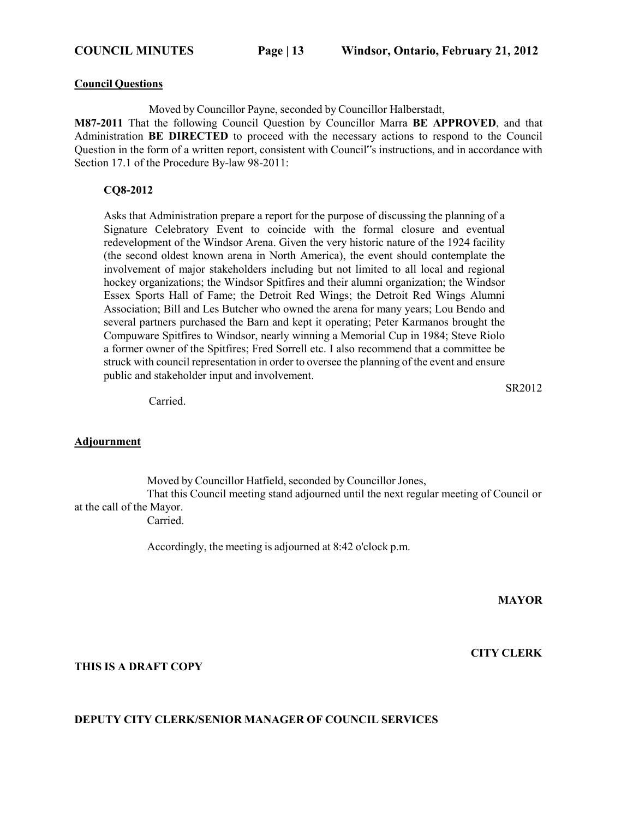#### **Council Questions**

Moved by Councillor Payne, seconded by Councillor Halberstadt,

**M87-2011** That the following Council Question by Councillor Marra **BE APPROVED**, and that Administration **BE DIRECTED** to proceed with the necessary actions to respond to the Council Question in the form of a written report, consistent with Council"s instructions, and in accordance with Section 17.1 of the Procedure By-law 98-2011:

#### **CQ8-2012**

Asks that Administration prepare a report for the purpose of discussing the planning of a Signature Celebratory Event to coincide with the formal closure and eventual redevelopment of the Windsor Arena. Given the very historic nature of the 1924 facility (the second oldest known arena in North America), the event should contemplate the involvement of major stakeholders including but not limited to all local and regional hockey organizations; the Windsor Spitfires and their alumni organization; the Windsor Essex Sports Hall of Fame; the Detroit Red Wings; the Detroit Red Wings Alumni Association; Bill and Les Butcher who owned the arena for many years; Lou Bendo and several partners purchased the Barn and kept it operating; Peter Karmanos brought the Compuware Spitfires to Windsor, nearly winning a Memorial Cup in 1984; Steve Riolo a former owner of the Spitfires; Fred Sorrell etc. I also recommend that a committee be struck with council representation in order to oversee the planning of the event and ensure public and stakeholder input and involvement.

SR2012

Carried.

#### **Adjournment**

Moved by Councillor Hatfield, seconded by Councillor Jones, That this Council meeting stand adjourned until the next regular meeting of Council or at the call of the Mayor.

Carried.

Accordingly, the meeting is adjourned at 8:42 o'clock p.m.

**MAYOR**

#### **THIS IS A DRAFT COPY**

#### **CITY CLERK**

#### **DEPUTY CITY CLERK/SENIOR MANAGER OF COUNCIL SERVICES**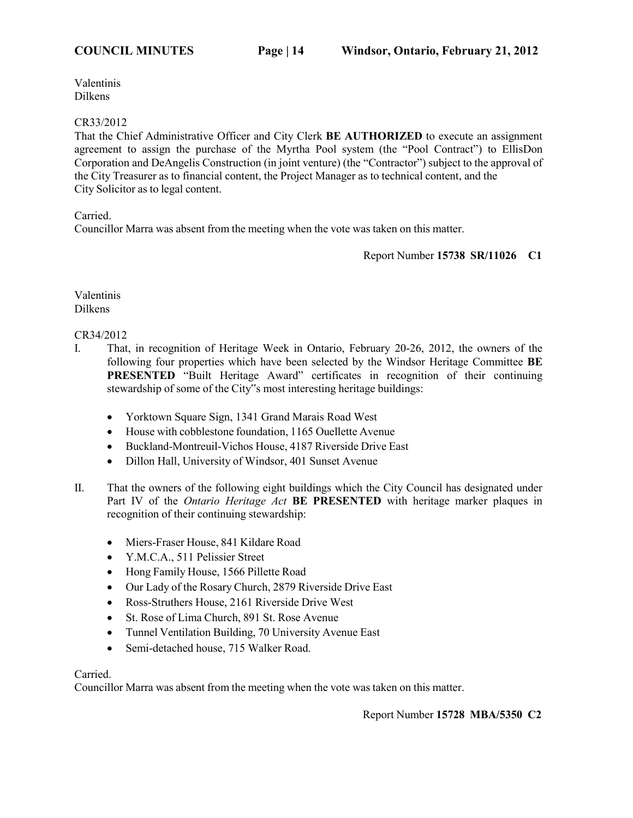#### CR33/2012

That the Chief Administrative Officer and City Clerk **BE AUTHORIZED** to execute an assignment agreement to assign the purchase of the Myrtha Pool system (the "Pool Contract") to EllisDon Corporation and DeAngelis Construction (in joint venture) (the "Contractor") subject to the approval of the City Treasurer as to financial content, the Project Manager as to technical content, and the City Solicitor as to legal content.

Carried.

Councillor Marra was absent from the meeting when the vote was taken on this matter.

Report Number **15738 SR/11026 C1**

Valentinis Dilkens

CR34/2012

- I. That, in recognition of Heritage Week in Ontario, February 20-26, 2012, the owners of the following four properties which have been selected by the Windsor Heritage Committee **BE PRESENTED** "Built Heritage Award" certificates in recognition of their continuing stewardship of some of the City"s most interesting heritage buildings:
	- Yorktown Square Sign, 1341 Grand Marais Road West
	- House with cobblestone foundation, 1165 Ouellette Avenue
	- Buckland-Montreuil-Vichos House, 4187 Riverside Drive East
	- Dillon Hall, University of Windsor, 401 Sunset Avenue
- II. That the owners of the following eight buildings which the City Council has designated under Part IV of the *Ontario Heritage Act* **BE PRESENTED** with heritage marker plaques in recognition of their continuing stewardship:
	- Miers-Fraser House, 841 Kildare Road
	- Y.M.C.A., 511 Pelissier Street
	- Hong Family House, 1566 Pillette Road
	- Our Lady of the Rosary Church, 2879 Riverside Drive East
	- Ross-Struthers House, 2161 Riverside Drive West
	- St. Rose of Lima Church, 891 St. Rose Avenue
	- Tunnel Ventilation Building, 70 University Avenue East
	- Semi-detached house, 715 Walker Road.

Carried.

Councillor Marra was absent from the meeting when the vote was taken on this matter.

Report Number **15728 MBA/5350 C2**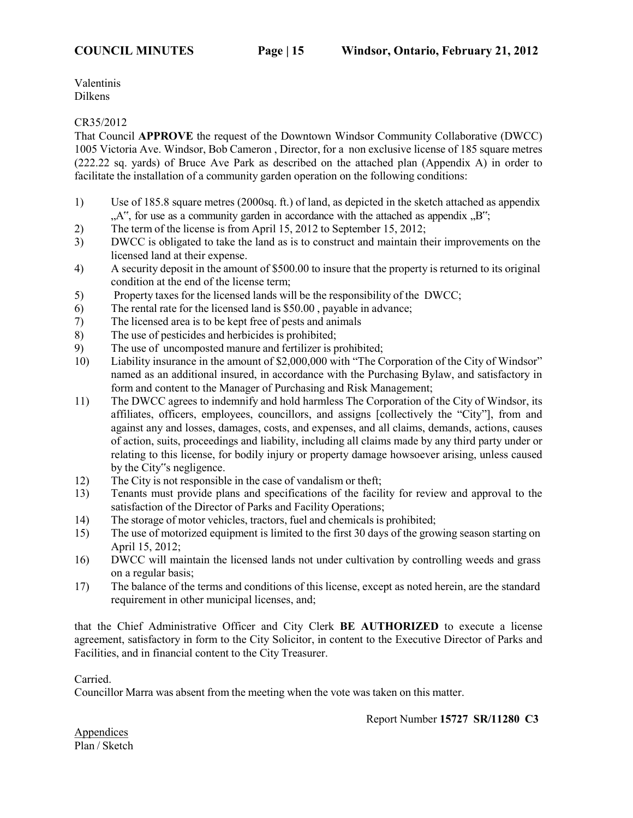#### CR35/2012

That Council **APPROVE** the request of the Downtown Windsor Community Collaborative (DWCC) 1005 Victoria Ave. Windsor, Bob Cameron , Director, for a non exclusive license of 185 square metres (222.22 sq. yards) of Bruce Ave Park as described on the attached plan (Appendix A) in order to facilitate the installation of a community garden operation on the following conditions:

- 1) Use of 185.8 square metres (2000sq. ft.) of land, as depicted in the sketch attached as appendix  $A^{\prime\prime}$ , for use as a community garden in accordance with the attached as appendix  $B^{\prime\prime}$ ;
- 2) The term of the license is from April 15, 2012 to September 15, 2012;
- 3) DWCC is obligated to take the land as is to construct and maintain their improvements on the licensed land at their expense.
- 4) A security deposit in the amount of \$500.00 to insure that the property is returned to its original condition at the end of the license term;
- 5) Property taxes for the licensed lands will be the responsibility of the DWCC;
- 6) The rental rate for the licensed land is \$50.00 , payable in advance;
- 7) The licensed area is to be kept free of pests and animals
- 8) The use of pesticides and herbicides is prohibited;
- 9) The use of uncomposted manure and fertilizer is prohibited;
- 10) Liability insurance in the amount of \$2,000,000 with "The Corporation of the City of Windsor" named as an additional insured, in accordance with the Purchasing Bylaw, and satisfactory in form and content to the Manager of Purchasing and Risk Management;
- 11) The DWCC agrees to indemnify and hold harmless The Corporation of the City of Windsor, its affiliates, officers, employees, councillors, and assigns [collectively the "City"], from and against any and losses, damages, costs, and expenses, and all claims, demands, actions, causes of action, suits, proceedings and liability, including all claims made by any third party under or relating to this license, for bodily injury or property damage howsoever arising, unless caused by the City"s negligence.
- 12) The City is not responsible in the case of vandalism or theft;
- 13) Tenants must provide plans and specifications of the facility for review and approval to the satisfaction of the Director of Parks and Facility Operations;
- 14) The storage of motor vehicles, tractors, fuel and chemicals is prohibited;
- 15) The use of motorized equipment is limited to the first 30 days of the growing season starting on April 15, 2012;
- 16) DWCC will maintain the licensed lands not under cultivation by controlling weeds and grass on a regular basis;
- 17) The balance of the terms and conditions of this license, except as noted herein, are the standard requirement in other municipal licenses, and;

that the Chief Administrative Officer and City Clerk **BE AUTHORIZED** to execute a license agreement, satisfactory in form to the City Solicitor, in content to the Executive Director of Parks and Facilities, and in financial content to the City Treasurer.

Carried.

Councillor Marra was absent from the meeting when the vote was taken on this matter.

Report Number **15727 SR/11280 C3**

Appendices Plan / Sketch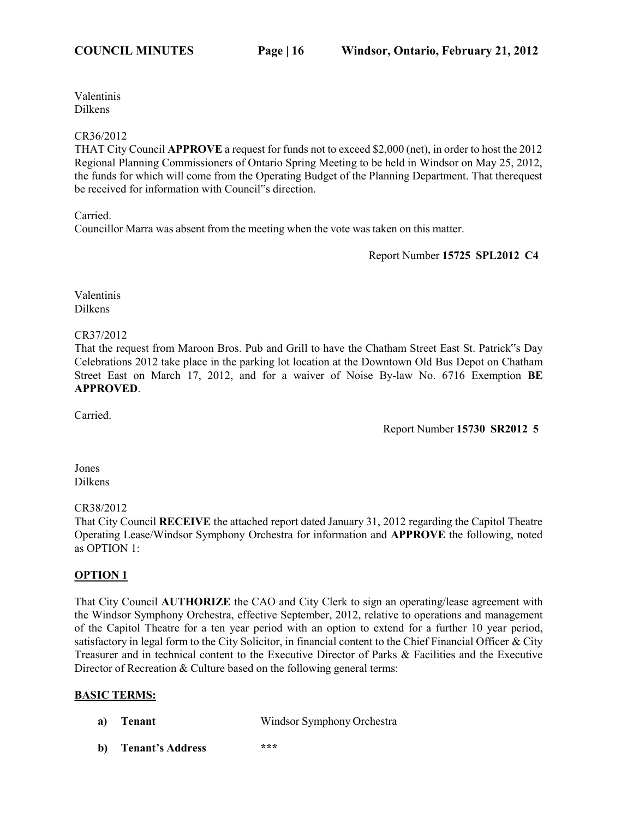#### CR36/2012

THAT City Council **APPROVE** a request for funds not to exceed \$2,000 (net), in order to host the 2012 Regional Planning Commissioners of Ontario Spring Meeting to be held in Windsor on May 25, 2012, the funds for which will come from the Operating Budget of the Planning Department. That therequest be received for information with Council"s direction.

Carried.

Councillor Marra was absent from the meeting when the vote was taken on this matter.

Report Number **15725 SPL2012 C4**

Valentinis Dilkens

CR37/2012

That the request from Maroon Bros. Pub and Grill to have the Chatham Street East St. Patrick"s Day Celebrations 2012 take place in the parking lot location at the Downtown Old Bus Depot on Chatham Street East on March 17, 2012, and for a waiver of Noise By-law No. 6716 Exemption **BE APPROVED**.

Carried.

Report Number **15730 SR2012 5**

#### Jones Dilkens

## CR38/2012

That City Council **RECEIVE** the attached report dated January 31, 2012 regarding the Capitol Theatre Operating Lease/Windsor Symphony Orchestra for information and **APPROVE** the following, noted as OPTION 1:

## **OPTION 1**

That City Council **AUTHORIZE** the CAO and City Clerk to sign an operating/lease agreement with the Windsor Symphony Orchestra, effective September, 2012, relative to operations and management of the Capitol Theatre for a ten year period with an option to extend for a further 10 year period, satisfactory in legal form to the City Solicitor, in financial content to the Chief Financial Officer & City Treasurer and in technical content to the Executive Director of Parks & Facilities and the Executive Director of Recreation & Culture based on the following general terms:

## **BASIC TERMS:**

- **a) Tenant** Windsor Symphony Orchestra
- **b) Tenant's Address \*\*\***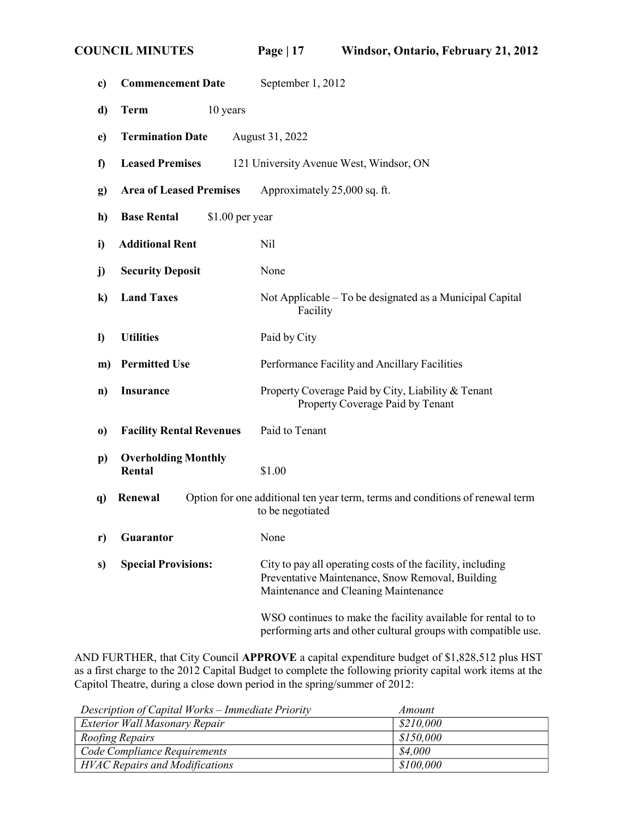| c)         | <b>Commencement Date</b>                                                                                     |                  | September 1, 2012                                                                                                                                      |
|------------|--------------------------------------------------------------------------------------------------------------|------------------|--------------------------------------------------------------------------------------------------------------------------------------------------------|
| d)         | <b>Term</b>                                                                                                  | 10 years         |                                                                                                                                                        |
| e)         | <b>Termination Date</b>                                                                                      |                  | August 31, 2022                                                                                                                                        |
| f)         | <b>Leased Premises</b>                                                                                       |                  | 121 University Avenue West, Windsor, ON                                                                                                                |
| g)         | <b>Area of Leased Premises</b>                                                                               |                  | Approximately 25,000 sq. ft.                                                                                                                           |
| h)         | <b>Base Rental</b>                                                                                           | $$1.00$ per year |                                                                                                                                                        |
| i)         | <b>Additional Rent</b>                                                                                       |                  | Nil                                                                                                                                                    |
| j)         | <b>Security Deposit</b>                                                                                      |                  | None                                                                                                                                                   |
| $\bf k)$   | <b>Land Taxes</b>                                                                                            |                  | Not Applicable – To be designated as a Municipal Capital<br>Facility                                                                                   |
| $\bf{I}$   | <b>Utilities</b>                                                                                             |                  | Paid by City                                                                                                                                           |
| m)         | <b>Permitted Use</b>                                                                                         |                  | Performance Facility and Ancillary Facilities                                                                                                          |
| n)         | <b>Insurance</b>                                                                                             |                  | Property Coverage Paid by City, Liability & Tenant<br>Property Coverage Paid by Tenant                                                                 |
| $\bf{0}$   | <b>Facility Rental Revenues</b>                                                                              |                  | Paid to Tenant                                                                                                                                         |
| $\bf{p}$   | <b>Overholding Monthly</b><br>Rental                                                                         |                  | \$1.00                                                                                                                                                 |
| <b>q</b> ) | Renewal<br>Option for one additional ten year term, terms and conditions of renewal term<br>to be negotiated |                  |                                                                                                                                                        |
|            | r) Guarantor                                                                                                 |                  | None                                                                                                                                                   |
| s)         | <b>Special Provisions:</b>                                                                                   |                  | City to pay all operating costs of the facility, including<br>Preventative Maintenance, Snow Removal, Building<br>Maintenance and Cleaning Maintenance |
|            |                                                                                                              |                  | WSO continues to make the facility available for rental to to<br>performing arts and other cultural groups with compatible use.                        |

AND FURTHER, that City Council **APPROVE** a capital expenditure budget of \$1,828,512 plus HST as a first charge to the 2012 Capital Budget to complete the following priority capital work items at the Capitol Theatre, during a close down period in the spring/summer of 2012:

| Description of Capital Works – Immediate Priority | Amount    |
|---------------------------------------------------|-----------|
| Exterior Wall Masonary Repair                     | \$210,000 |
| Roofing Repairs                                   | \$150,000 |
| Code Compliance Requirements                      | \$4.000   |
| <b>HVAC Repairs and Modifications</b>             | \$100,000 |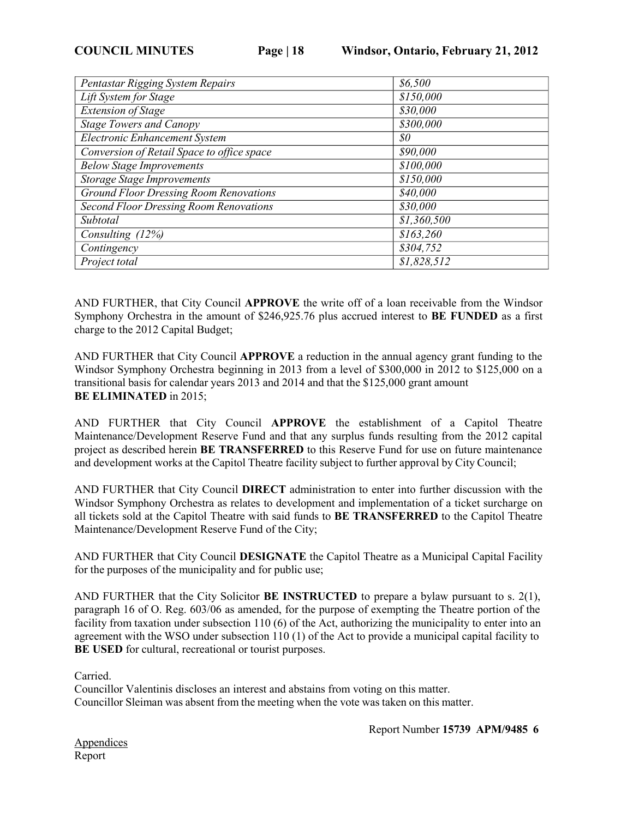| Pentastar Rigging System Repairs              | \$6,500     |
|-----------------------------------------------|-------------|
| Lift System for Stage                         | \$150,000   |
| <b>Extension of Stage</b>                     | \$30,000    |
| <b>Stage Towers and Canopy</b>                | \$300,000   |
| <b>Electronic Enhancement System</b>          | 80          |
| Conversion of Retail Space to office space    | \$90,000    |
| <b>Below Stage Improvements</b>               | \$100,000   |
| <b>Storage Stage Improvements</b>             | \$150,000   |
| <b>Ground Floor Dressing Room Renovations</b> | \$40,000    |
| <b>Second Floor Dressing Room Renovations</b> | \$30,000    |
| Subtotal                                      | \$1,360,500 |
| Consulting (12%)                              | \$163,260   |
| Contingency                                   | \$304,752   |
| Project total                                 | \$1,828,512 |

AND FURTHER, that City Council **APPROVE** the write off of a loan receivable from the Windsor Symphony Orchestra in the amount of \$246,925.76 plus accrued interest to **BE FUNDED** as a first charge to the 2012 Capital Budget;

AND FURTHER that City Council **APPROVE** a reduction in the annual agency grant funding to the Windsor Symphony Orchestra beginning in 2013 from a level of \$300,000 in 2012 to \$125,000 on a transitional basis for calendar years 2013 and 2014 and that the \$125,000 grant amount **BE ELIMINATED** in 2015;

AND FURTHER that City Council **APPROVE** the establishment of a Capitol Theatre Maintenance/Development Reserve Fund and that any surplus funds resulting from the 2012 capital project as described herein **BE TRANSFERRED** to this Reserve Fund for use on future maintenance and development works at the Capitol Theatre facility subject to further approval by City Council;

AND FURTHER that City Council **DIRECT** administration to enter into further discussion with the Windsor Symphony Orchestra as relates to development and implementation of a ticket surcharge on all tickets sold at the Capitol Theatre with said funds to **BE TRANSFERRED** to the Capitol Theatre Maintenance/Development Reserve Fund of the City;

AND FURTHER that City Council **DESIGNATE** the Capitol Theatre as a Municipal Capital Facility for the purposes of the municipality and for public use;

AND FURTHER that the City Solicitor **BE INSTRUCTED** to prepare a bylaw pursuant to s. 2(1), paragraph 16 of O. Reg. 603/06 as amended, for the purpose of exempting the Theatre portion of the facility from taxation under subsection 110 (6) of the Act, authorizing the municipality to enter into an agreement with the WSO under subsection 110 (1) of the Act to provide a municipal capital facility to **BE USED** for cultural, recreational or tourist purposes.

Carried.

Councillor Valentinis discloses an interest and abstains from voting on this matter. Councillor Sleiman was absent from the meeting when the vote was taken on this matter.

Report Number **15739 APM/9485 6**

Appendices Report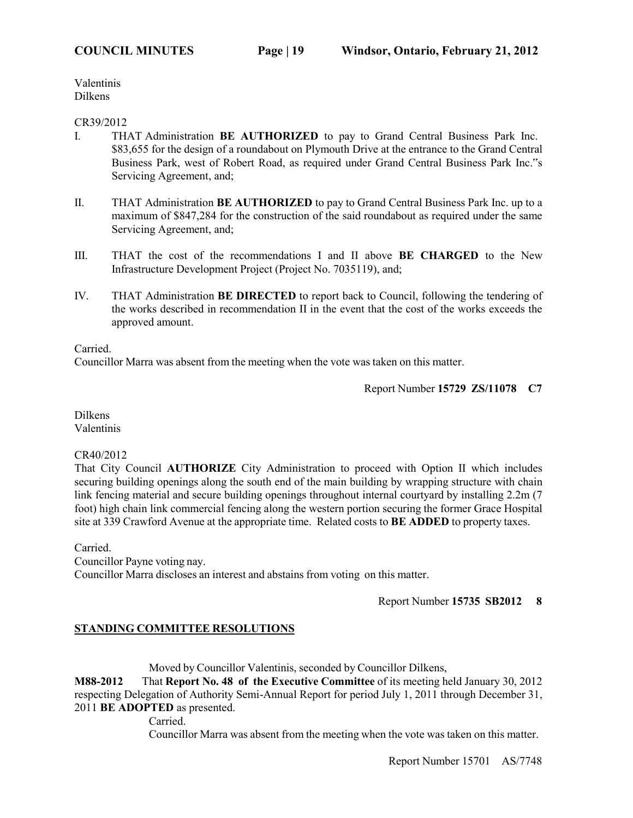#### CR39/2012

- I. THAT Administration **BE AUTHORIZED** to pay to Grand Central Business Park Inc. \$83,655 for the design of a roundabout on Plymouth Drive at the entrance to the Grand Central Business Park, west of Robert Road, as required under Grand Central Business Park Inc."s Servicing Agreement, and;
- II. THAT Administration **BE AUTHORIZED** to pay to Grand Central Business Park Inc. up to a maximum of \$847,284 for the construction of the said roundabout as required under the same Servicing Agreement, and;
- III. THAT the cost of the recommendations I and II above **BE CHARGED** to the New Infrastructure Development Project (Project No. 7035119), and;
- IV. THAT Administration **BE DIRECTED** to report back to Council, following the tendering of the works described in recommendation II in the event that the cost of the works exceeds the approved amount.

Carried.

Councillor Marra was absent from the meeting when the vote was taken on this matter.

Report Number **15729 ZS/11078 C7**

Dilkens Valentinis

## CR40/2012

That City Council **AUTHORIZE** City Administration to proceed with Option II which includes securing building openings along the south end of the main building by wrapping structure with chain link fencing material and secure building openings throughout internal courtyard by installing 2.2m (7 foot) high chain link commercial fencing along the western portion securing the former Grace Hospital site at 339 Crawford Avenue at the appropriate time. Related costs to **BE ADDED** to property taxes.

Carried.

Councillor Payne voting nay. Councillor Marra discloses an interest and abstains from voting on this matter.

Report Number **15735 SB2012 8**

## **STANDING COMMITTEE RESOLUTIONS**

Moved by Councillor Valentinis, seconded by Councillor Dilkens,

**M88-2012** That **Report No. 48 of the Executive Committee** of its meeting held January 30, 2012 respecting Delegation of Authority Semi-Annual Report for period July 1, 2011 through December 31, 2011 **BE ADOPTED** as presented.

Carried.

Councillor Marra was absent from the meeting when the vote was taken on this matter.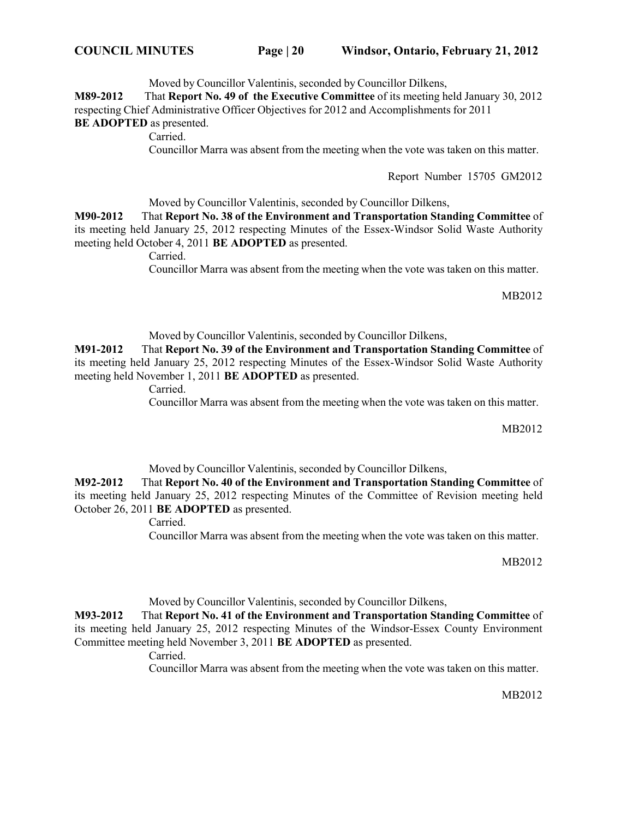Moved by Councillor Valentinis, seconded by Councillor Dilkens,

**M89-2012** That **Report No. 49 of the Executive Committee** of its meeting held January 30, 2012 respecting Chief Administrative Officer Objectives for 2012 and Accomplishments for 2011

**BE ADOPTED** as presented.

Carried.

Councillor Marra was absent from the meeting when the vote was taken on this matter.

Report Number 15705 GM2012

Moved by Councillor Valentinis, seconded by Councillor Dilkens,

**M90-2012** That **Report No. 38 of the Environment and Transportation Standing Committee** of its meeting held January 25, 2012 respecting Minutes of the Essex-Windsor Solid Waste Authority meeting held October 4, 2011 **BE ADOPTED** as presented.

Carried.

Councillor Marra was absent from the meeting when the vote was taken on this matter.

MB2012

Moved by Councillor Valentinis, seconded by Councillor Dilkens,

**M91-2012** That **Report No. 39 of the Environment and Transportation Standing Committee** of its meeting held January 25, 2012 respecting Minutes of the Essex-Windsor Solid Waste Authority meeting held November 1, 2011 **BE ADOPTED** as presented.

Carried.

Councillor Marra was absent from the meeting when the vote was taken on this matter.

MB2012

Moved by Councillor Valentinis, seconded by Councillor Dilkens,

**M92-2012** That **Report No. 40 of the Environment and Transportation Standing Committee** of its meeting held January 25, 2012 respecting Minutes of the Committee of Revision meeting held October 26, 2011 **BE ADOPTED** as presented.

Carried.

Councillor Marra was absent from the meeting when the vote was taken on this matter.

MB2012

Moved by Councillor Valentinis, seconded by Councillor Dilkens,

**M93-2012** That **Report No. 41 of the Environment and Transportation Standing Committee** of its meeting held January 25, 2012 respecting Minutes of the Windsor-Essex County Environment Committee meeting held November 3, 2011 **BE ADOPTED** as presented.

Carried.

Councillor Marra was absent from the meeting when the vote was taken on this matter.

MB2012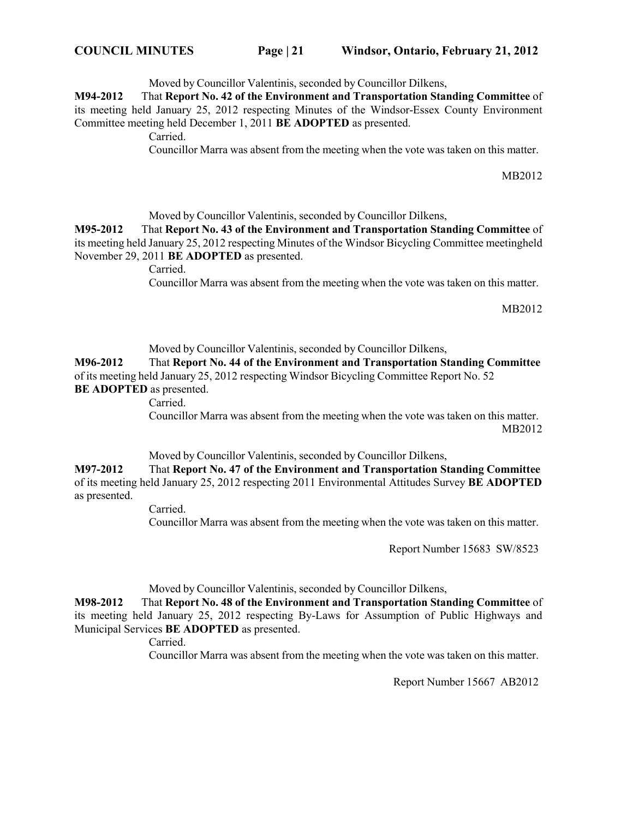**COUNCIL MINUTES Page | 21 Windsor, Ontario, February 21, 2012**

Moved by Councillor Valentinis, seconded by Councillor Dilkens,

**M94-2012** That **Report No. 42 of the Environment and Transportation Standing Committee** of its meeting held January 25, 2012 respecting Minutes of the Windsor-Essex County Environment Committee meeting held December 1, 2011 **BE ADOPTED** as presented.

Carried.

Councillor Marra was absent from the meeting when the vote was taken on this matter.

MB2012

Moved by Councillor Valentinis, seconded by Councillor Dilkens,

**M95-2012** That **Report No. 43 of the Environment and Transportation Standing Committee** of its meeting held January 25, 2012 respecting Minutes of the Windsor Bicycling Committee meetingheld November 29, 2011 **BE ADOPTED** as presented.

Carried.

Councillor Marra was absent from the meeting when the vote was taken on this matter.

MB2012

Moved by Councillor Valentinis, seconded by Councillor Dilkens,

**M96-2012** That **Report No. 44 of the Environment and Transportation Standing Committee** of its meeting held January 25, 2012 respecting Windsor Bicycling Committee Report No. 52 **BE ADOPTED** as presented.

Carried.

Councillor Marra was absent from the meeting when the vote was taken on this matter. MB2012

Moved by Councillor Valentinis, seconded by Councillor Dilkens,

**M97-2012** That **Report No. 47 of the Environment and Transportation Standing Committee** of its meeting held January 25, 2012 respecting 2011 Environmental Attitudes Survey **BE ADOPTED** as presented.

Carried.

Councillor Marra was absent from the meeting when the vote was taken on this matter.

Report Number 15683 SW/8523

Moved by Councillor Valentinis, seconded by Councillor Dilkens,

**M98-2012** That **Report No. 48 of the Environment and Transportation Standing Committee** of its meeting held January 25, 2012 respecting By-Laws for Assumption of Public Highways and Municipal Services **BE ADOPTED** as presented.

Carried.

Councillor Marra was absent from the meeting when the vote was taken on this matter.

Report Number 15667 AB2012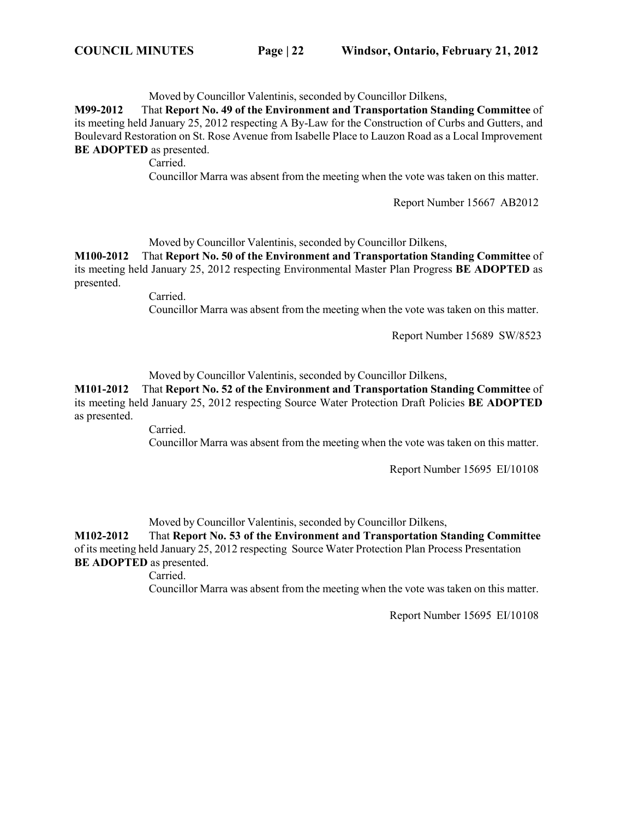Moved by Councillor Valentinis, seconded by Councillor Dilkens,

**M99-2012** That **Report No. 49 of the Environment and Transportation Standing Committee** of its meeting held January 25, 2012 respecting A By-Law for the Construction of Curbs and Gutters, and Boulevard Restoration on St. Rose Avenue from Isabelle Place to Lauzon Road as a Local Improvement **BE ADOPTED** as presented.

Carried.

Councillor Marra was absent from the meeting when the vote was taken on this matter.

Report Number 15667 AB2012

Moved by Councillor Valentinis, seconded by Councillor Dilkens,

**M100-2012** That **Report No. 50 of the Environment and Transportation Standing Committee** of its meeting held January 25, 2012 respecting Environmental Master Plan Progress **BE ADOPTED** as presented.

Carried.

Councillor Marra was absent from the meeting when the vote was taken on this matter.

Report Number 15689 SW/8523

Moved by Councillor Valentinis, seconded by Councillor Dilkens,

**M101-2012** That **Report No. 52 of the Environment and Transportation Standing Committee** of its meeting held January 25, 2012 respecting Source Water Protection Draft Policies **BE ADOPTED** as presented.

Carried.

Councillor Marra was absent from the meeting when the vote was taken on this matter.

Report Number 15695 EI/10108

Moved by Councillor Valentinis, seconded by Councillor Dilkens,

**M102-2012** That **Report No. 53 of the Environment and Transportation Standing Committee** of its meeting held January 25, 2012 respecting Source Water Protection Plan Process Presentation **BE ADOPTED** as presented.

Carried.

Councillor Marra was absent from the meeting when the vote was taken on this matter.

Report Number 15695 EI/10108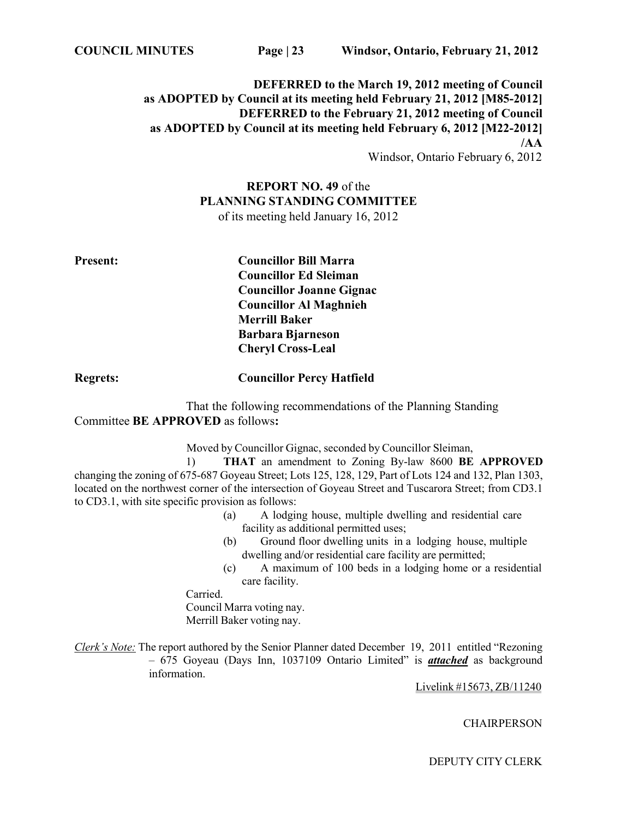## **DEFERRED to the March 19, 2012 meeting of Council as ADOPTED by Council at its meeting held February 21, 2012 [M85-2012] DEFERRED to the February 21, 2012 meeting of Council as ADOPTED by Council at its meeting held February 6, 2012 [M22-2012] /AA**

Windsor, Ontario February 6, 2012

# **REPORT NO. 49** of the **PLANNING STANDING COMMITTEE**

of its meeting held January 16, 2012

**Present: Councillor Bill Marra Councillor Ed Sleiman Councillor Joanne Gignac Councillor Al Maghnieh Merrill Baker Barbara Bjarneson Cheryl Cross-Leal**

**Regrets: Councillor Percy Hatfield**

That the following recommendations of the Planning Standing Committee **BE APPROVED** as follows**:**

Moved by Councillor Gignac, seconded by Councillor Sleiman,

1) **THAT** an amendment to Zoning By-law 8600 **BE APPROVED** changing the zoning of 675-687 Goyeau Street; Lots 125, 128, 129, Part of Lots 124 and 132, Plan 1303, located on the northwest corner of the intersection of Goyeau Street and Tuscarora Street; from CD3.1 to CD3.1, with site specific provision as follows:

- (a) A lodging house, multiple dwelling and residential care facility as additional permitted uses;
- (b) Ground floor dwelling units in a lodging house, multiple dwelling and/or residential care facility are permitted;
- (c) A maximum of 100 beds in a lodging home or a residential care facility.

Carried.

Council Marra voting nay. Merrill Baker voting nay.

*Clerk's Note:* The report authored by the Senior Planner dated December 19, 2011 entitled "Rezoning – 675 Goyeau (Days Inn, 1037109 Ontario Limited" is *attached* as background information.

Livelink #15673, ZB/11240

**CHAIRPERSON** 

DEPUTY CITY CLERK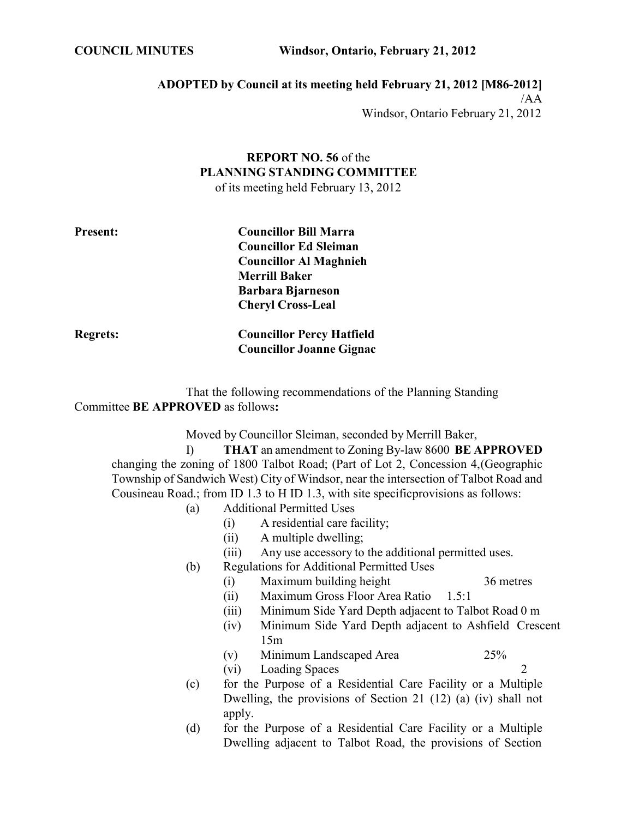**COUNCIL MINUTES Windsor, Ontario, February 21, 2012**

## **ADOPTED by Council at its meeting held February 21, 2012 [M86-2012]** /AA

Windsor, Ontario February 21, 2012

# **REPORT NO. 56** of the **PLANNING STANDING COMMITTEE**

of its meeting held February 13, 2012

| <b>Present:</b> |
|-----------------|
|-----------------|

**Present: Councillor Bill Marra Councillor Ed Sleiman Councillor Al Maghnieh Merrill Baker Barbara Bjarneson Cheryl Cross-Leal**

**Councillor Joanne Gignac**

**Regrets: Councillor Percy Hatfield**

## That the following recommendations of the Planning Standing Committee **BE APPROVED** as follows**:**

Moved by Councillor Sleiman, seconded by Merrill Baker,

I) **THAT** an amendment to Zoning By-law 8600 **BE APPROVED**  changing the zoning of 1800 Talbot Road; (Part of Lot 2, Concession 4,(Geographic Township of Sandwich West) City of Windsor, near the intersection of Talbot Road and Cousineau Road.; from ID 1.3 to H ID 1.3, with site specificprovisions as follows:

## (a) Additional Permitted Uses

- (i) A residential care facility;
- (ii) A multiple dwelling;
- (iii) Any use accessory to the additional permitted uses.
- (b) Regulations for Additional Permitted Uses
	- (i) Maximum building height 36 metres
	- (ii) Maximum Gross Floor Area Ratio 1.5:1
	- (iii) Minimum Side Yard Depth adjacent to Talbot Road 0 m
	- (iv) Minimum Side Yard Depth adjacent to Ashfield Crescent 15m
	- (v) Minimum Landscaped Area 25%
	- (vi) Loading Spaces 2
- (c) for the Purpose of a Residential Care Facility or a Multiple Dwelling, the provisions of Section 21 (12) (a) (iv) shall not apply.
- (d) for the Purpose of a Residential Care Facility or a Multiple Dwelling adjacent to Talbot Road, the provisions of Section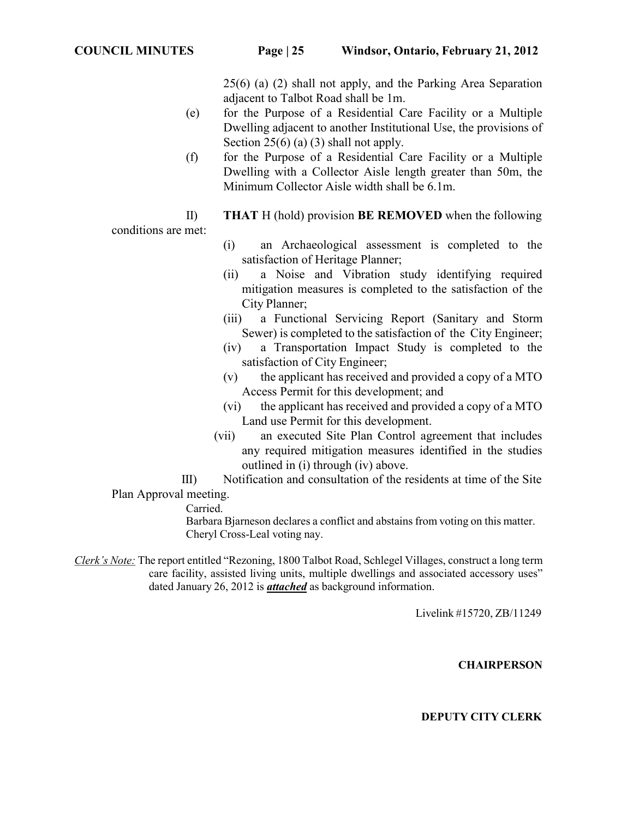25(6) (a) (2) shall not apply, and the Parking Area Separation adjacent to Talbot Road shall be 1m.

- (e) for the Purpose of a Residential Care Facility or a Multiple Dwelling adjacent to another Institutional Use, the provisions of Section  $25(6)$  (a) (3) shall not apply.
- (f) for the Purpose of a Residential Care Facility or a Multiple Dwelling with a Collector Aisle length greater than 50m, the Minimum Collector Aisle width shall be 6.1m.
- II) **THAT** H (hold) provision **BE REMOVED** when the following

conditions are met:

- (i) an Archaeological assessment is completed to the satisfaction of Heritage Planner;
- (ii) a Noise and Vibration study identifying required mitigation measures is completed to the satisfaction of the City Planner;
- (iii) a Functional Servicing Report (Sanitary and Storm Sewer) is completed to the satisfaction of the City Engineer;
- (iv) a Transportation Impact Study is completed to the satisfaction of City Engineer;
- (v) the applicant has received and provided a copy of a MTO Access Permit for this development; and
- (vi) the applicant has received and provided a copy of a MTO Land use Permit for this development.
- (vii) an executed Site Plan Control agreement that includes any required mitigation measures identified in the studies outlined in (i) through (iv) above.
- III) Notification and consultation of the residents at time of the Site Plan Approval meeting.

Carried.

Barbara Bjarneson declares a conflict and abstains from voting on this matter. Cheryl Cross-Leal voting nay.

*Clerk's Note:* The report entitled "Rezoning, 1800 Talbot Road, Schlegel Villages, construct a long term care facility, assisted living units, multiple dwellings and associated accessory uses" dated January 26, 2012 is *attached* as background information.

Livelink #15720, ZB/11249

#### **CHAIRPERSON**

#### **DEPUTY CITY CLERK**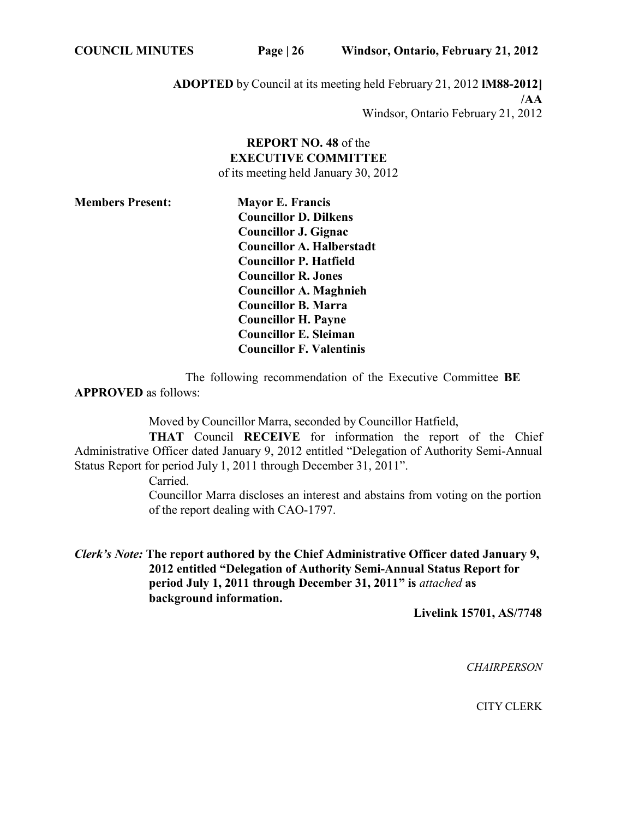**ADOPTED** by Council at its meeting held February 21, 2012 **lM88-2012] /AA** Windsor, Ontario February 21, 2012

## **REPORT NO. 48** of the **EXECUTIVE COMMITTEE** of its meeting held January 30, 2012

| <b>Members Present:</b> | <b>Mayor E. Francis</b>          |
|-------------------------|----------------------------------|
|                         | <b>Councillor D. Dilkens</b>     |
|                         | Councillor J. Gignac             |
|                         | <b>Councillor A. Halberstadt</b> |
|                         | <b>Councillor P. Hatfield</b>    |
|                         | <b>Councillor R. Jones</b>       |
|                         | <b>Councillor A. Maghnieh</b>    |
|                         | <b>Councillor B. Marra</b>       |
|                         | <b>Councillor H. Payne</b>       |
|                         | <b>Councillor E. Sleiman</b>     |
|                         | <b>Councillor F. Valentinis</b>  |

The following recommendation of the Executive Committee **BE APPROVED** as follows:

Moved by Councillor Marra, seconded by Councillor Hatfield,

**THAT** Council **RECEIVE** for information the report of the Chief Administrative Officer dated January 9, 2012 entitled "Delegation of Authority Semi-Annual Status Report for period July 1, 2011 through December 31, 2011".

Carried.

Councillor Marra discloses an interest and abstains from voting on the portion of the report dealing with CAO-1797.

*Clerk's Note:* **The report authored by the Chief Administrative Officer dated January 9, 2012 entitled "Delegation of Authority Semi-Annual Status Report for period July 1, 2011 through December 31, 2011" is** *attached* **as background information.**

**Livelink 15701, AS/7748**

*CHAIRPERSON*

CITY CLERK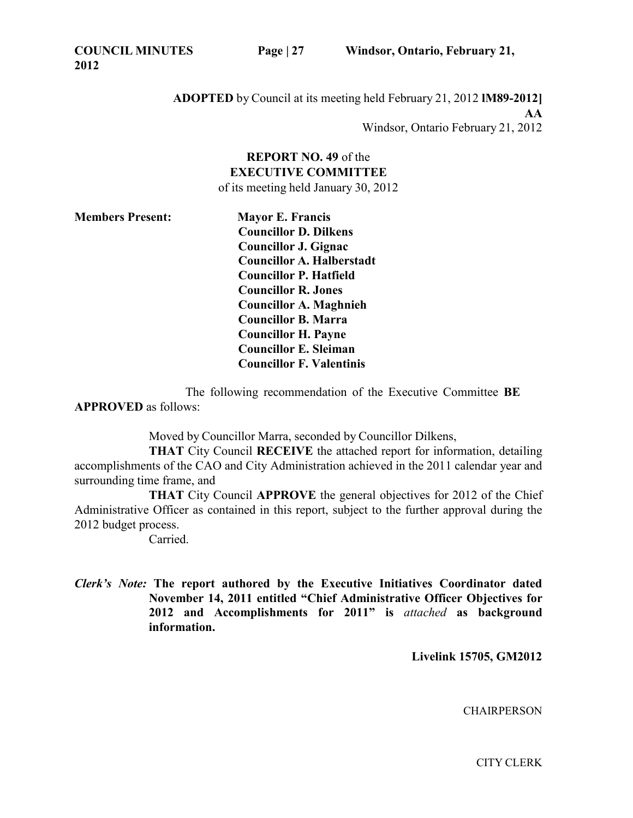**COUNCIL MINUTES 2012**

**ADOPTED** by Council at its meeting held February 21, 2012 **lM89-2012] AA** Windsor, Ontario February 21, 2012

## **REPORT NO. 49** of the **EXECUTIVE COMMITTEE** of its meeting held January 30, 2012

**Members Present: Mayor E. Francis Councillor D. Dilkens Councillor J. Gignac Councillor A. Halberstadt Councillor P. Hatfield Councillor R. Jones Councillor A. Maghnieh Councillor B. Marra Councillor H. Payne Councillor E. Sleiman Councillor F. Valentinis**

The following recommendation of the Executive Committee **BE APPROVED** as follows:

Moved by Councillor Marra, seconded by Councillor Dilkens,

**THAT** City Council **RECEIVE** the attached report for information, detailing accomplishments of the CAO and City Administration achieved in the 2011 calendar year and surrounding time frame, and

**THAT** City Council **APPROVE** the general objectives for 2012 of the Chief Administrative Officer as contained in this report, subject to the further approval during the 2012 budget process.

Carried.

*Clerk's Note:* **The report authored by the Executive Initiatives Coordinator dated November 14, 2011 entitled "Chief Administrative Officer Objectives for 2012 and Accomplishments for 2011" is** *attached* **as background information.**

**Livelink 15705, GM2012**

**CHAIRPERSON** 

CITY CLERK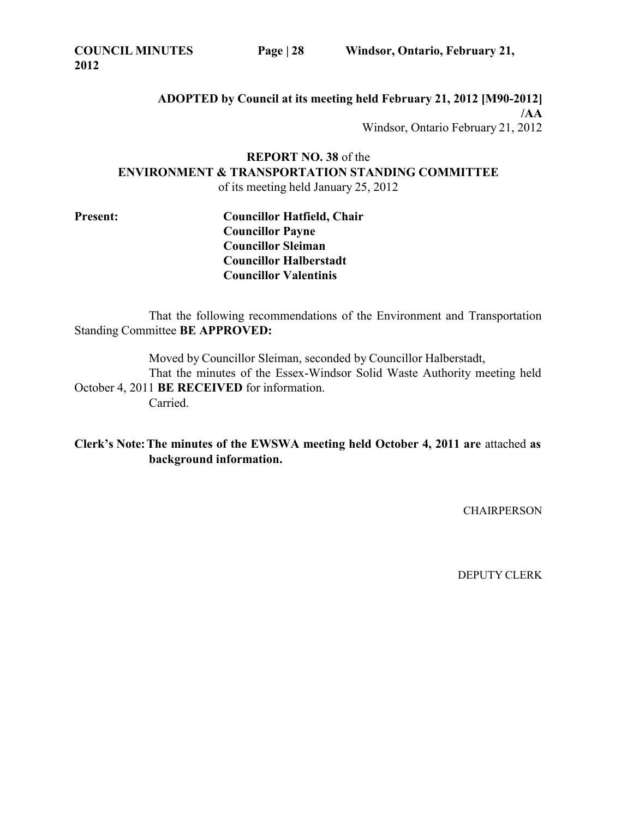**ADOPTED by Council at its meeting held February 21, 2012 [M90-2012] /AA** Windsor, Ontario February 21, 2012

**REPORT NO. 38** of the **ENVIRONMENT & TRANSPORTATION STANDING COMMITTEE** of its meeting held January 25, 2012

**Present: Councillor Hatfield, Chair Councillor Payne Councillor Sleiman Councillor Halberstadt Councillor Valentinis**

That the following recommendations of the Environment and Transportation Standing Committee **BE APPROVED:**

Moved by Councillor Sleiman, seconded by Councillor Halberstadt, That the minutes of the Essex-Windsor Solid Waste Authority meeting held October 4, 2011 **BE RECEIVED** for information.

Carried.

**Clerk's Note:The minutes of the EWSWA meeting held October 4, 2011 are** attached **as background information.**

**CHAIRPERSON**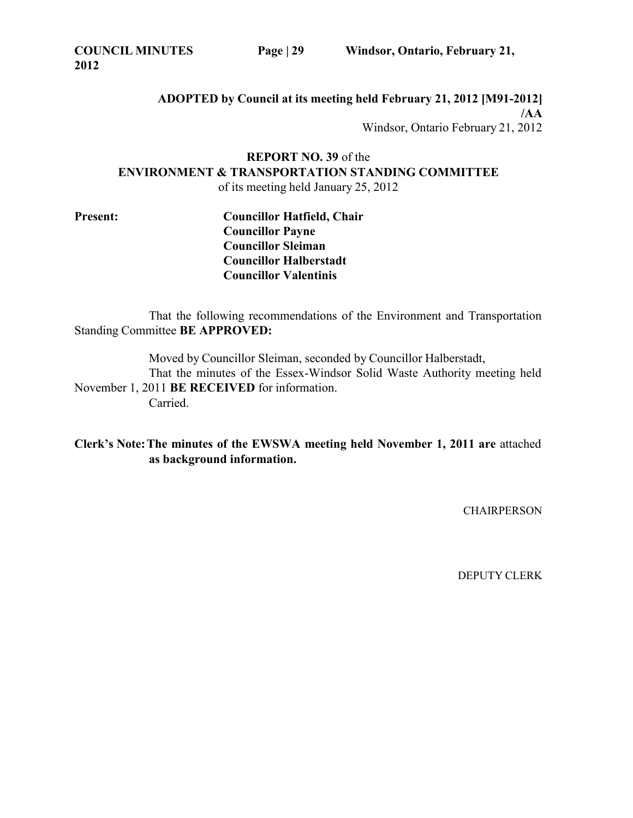**ADOPTED by Council at its meeting held February 21, 2012 [M91-2012] /AA** Windsor, Ontario February 21, 2012

**REPORT NO. 39** of the **ENVIRONMENT & TRANSPORTATION STANDING COMMITTEE** of its meeting held January 25, 2012

**Present: Councillor Hatfield, Chair Councillor Payne Councillor Sleiman Councillor Halberstadt Councillor Valentinis**

That the following recommendations of the Environment and Transportation Standing Committee **BE APPROVED:**

> Moved by Councillor Sleiman, seconded by Councillor Halberstadt, That the minutes of the Essex-Windsor Solid Waste Authority meeting held

November 1, 2011 **BE RECEIVED** for information. Carried.

**Clerk's Note:The minutes of the EWSWA meeting held November 1, 2011 are** attached **as background information.**

**CHAIRPERSON**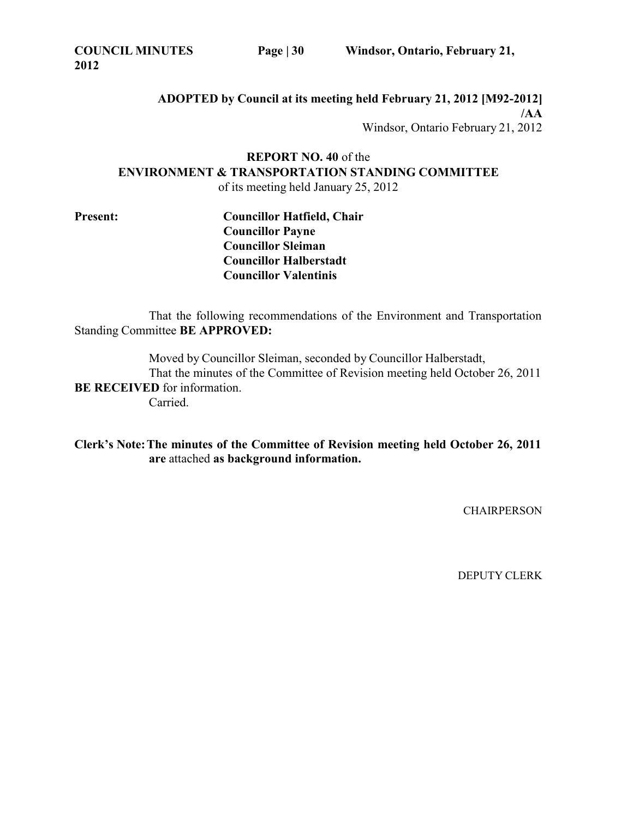**ADOPTED by Council at its meeting held February 21, 2012 [M92-2012] /AA** Windsor, Ontario February 21, 2012

**REPORT NO. 40** of the **ENVIRONMENT & TRANSPORTATION STANDING COMMITTEE** of its meeting held January 25, 2012

**Present: Councillor Hatfield, Chair Councillor Payne Councillor Sleiman Councillor Halberstadt Councillor Valentinis**

That the following recommendations of the Environment and Transportation Standing Committee **BE APPROVED:**

Moved by Councillor Sleiman, seconded by Councillor Halberstadt, That the minutes of the Committee of Revision meeting held October 26, 2011 **BE RECEIVED** for information. Carried.

**Clerk's Note:The minutes of the Committee of Revision meeting held October 26, 2011 are** attached **as background information.**

**CHAIRPERSON**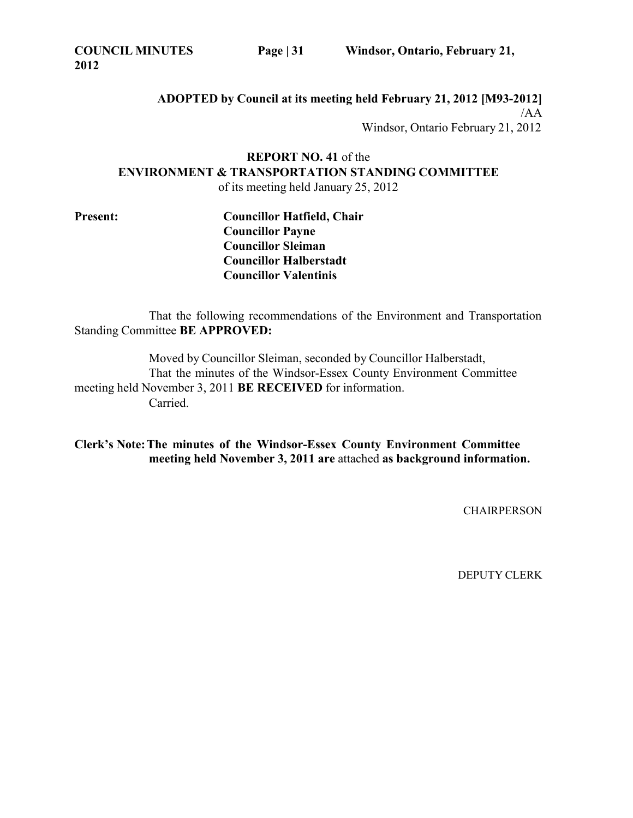**COUNCIL MINUTES 2012**

**ADOPTED by Council at its meeting held February 21, 2012 [M93-2012]** /AA Windsor, Ontario February 21, 2012

# **REPORT NO. 41** of the **ENVIRONMENT & TRANSPORTATION STANDING COMMITTEE**

of its meeting held January 25, 2012

**Present: Councillor Hatfield, Chair Councillor Payne Councillor Sleiman Councillor Halberstadt Councillor Valentinis**

That the following recommendations of the Environment and Transportation Standing Committee **BE APPROVED:**

Moved by Councillor Sleiman, seconded by Councillor Halberstadt, That the minutes of the Windsor-Essex County Environment Committee meeting held November 3, 2011 **BE RECEIVED** for information. Carried.

**Clerk's Note:The minutes of the Windsor-Essex County Environment Committee meeting held November 3, 2011 are** attached **as background information.**

**CHAIRPERSON**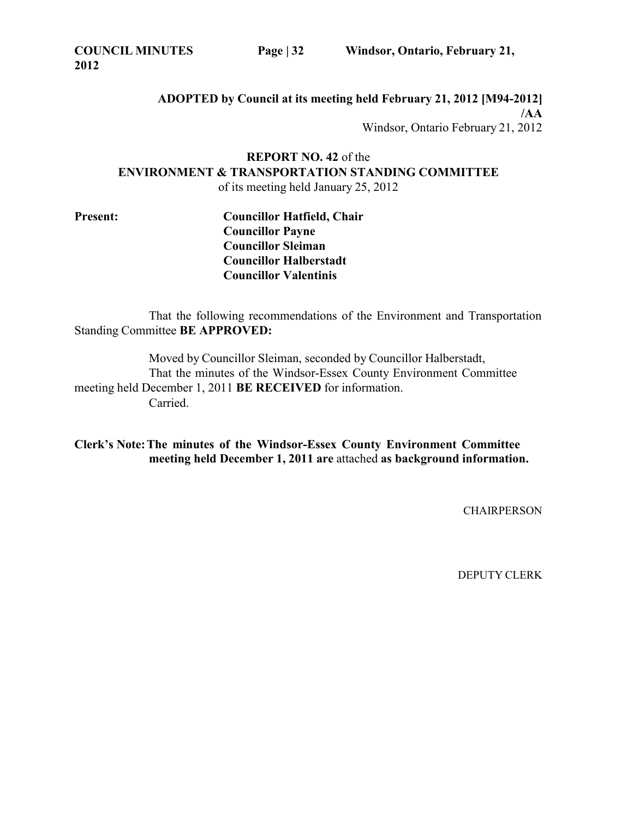**ADOPTED by Council at its meeting held February 21, 2012 [M94-2012] /AA** Windsor, Ontario February 21, 2012

**REPORT NO. 42** of the **ENVIRONMENT & TRANSPORTATION STANDING COMMITTEE** of its meeting held January 25, 2012

**Present: Councillor Hatfield, Chair Councillor Payne Councillor Sleiman Councillor Halberstadt Councillor Valentinis**

That the following recommendations of the Environment and Transportation Standing Committee **BE APPROVED:**

Moved by Councillor Sleiman, seconded by Councillor Halberstadt, That the minutes of the Windsor-Essex County Environment Committee meeting held December 1, 2011 **BE RECEIVED** for information. Carried.

**Clerk's Note:The minutes of the Windsor-Essex County Environment Committee meeting held December 1, 2011 are** attached **as background information.**

**CHAIRPERSON**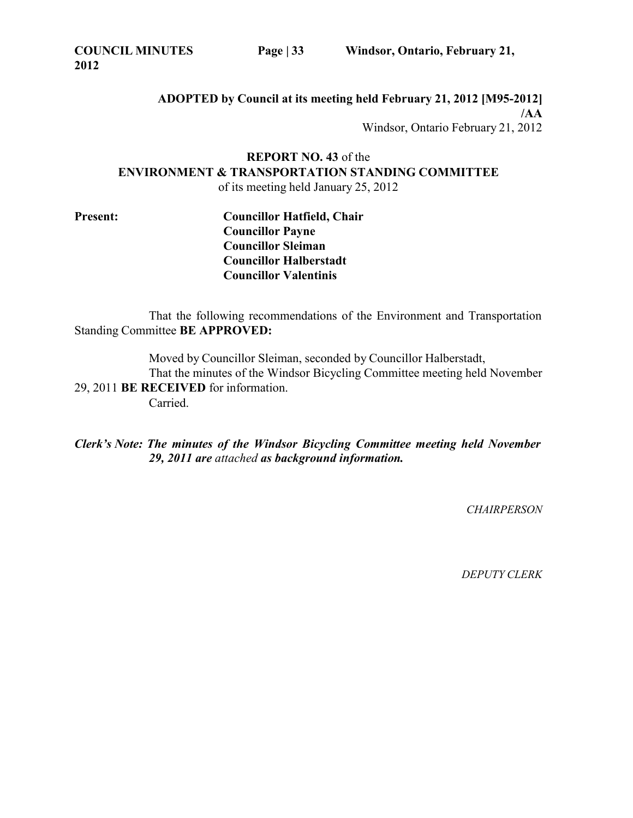**ADOPTED by Council at its meeting held February 21, 2012 [M95-2012] /AA** Windsor, Ontario February 21, 2012

**REPORT NO. 43** of the **ENVIRONMENT & TRANSPORTATION STANDING COMMITTEE** of its meeting held January 25, 2012

**Present: Councillor Hatfield, Chair Councillor Payne Councillor Sleiman Councillor Halberstadt Councillor Valentinis**

That the following recommendations of the Environment and Transportation Standing Committee **BE APPROVED:**

Moved by Councillor Sleiman, seconded by Councillor Halberstadt, That the minutes of the Windsor Bicycling Committee meeting held November 29, 2011 **BE RECEIVED** for information. Carried.

*Clerk's Note: The minutes of the Windsor Bicycling Committee meeting held November 29, 2011 are attached as background information.*

*CHAIRPERSON*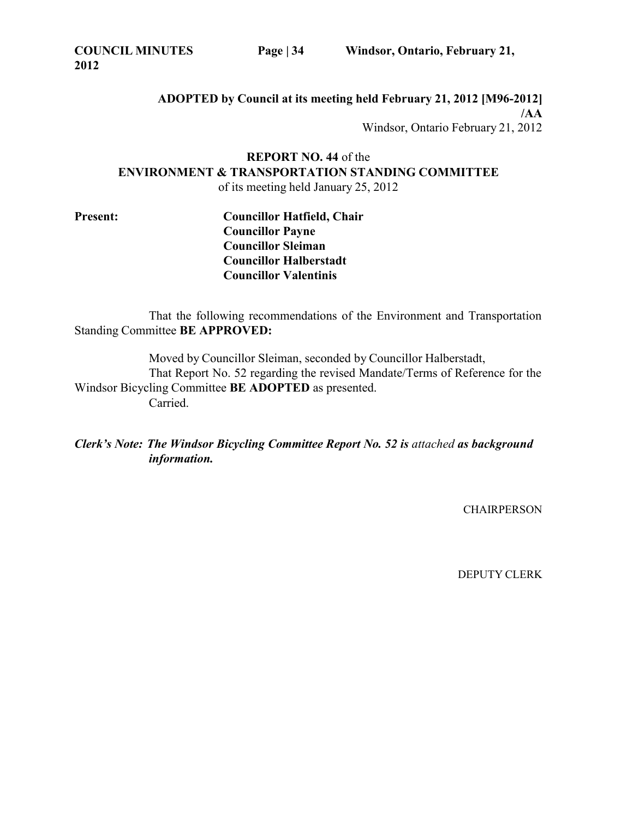**COUNCIL MINUTES 2012**

**ADOPTED by Council at its meeting held February 21, 2012 [M96-2012] /AA** Windsor, Ontario February 21, 2012

**REPORT NO. 44** of the **ENVIRONMENT & TRANSPORTATION STANDING COMMITTEE** of its meeting held January 25, 2012

**Present: Councillor Hatfield, Chair Councillor Payne Councillor Sleiman Councillor Halberstadt Councillor Valentinis**

That the following recommendations of the Environment and Transportation Standing Committee **BE APPROVED:**

Moved by Councillor Sleiman, seconded by Councillor Halberstadt, That Report No. 52 regarding the revised Mandate/Terms of Reference for the Windsor Bicycling Committee **BE ADOPTED** as presented. Carried.

*Clerk's Note: The Windsor Bicycling Committee Report No. 52 is attached as background information.*

CHAIRPERSON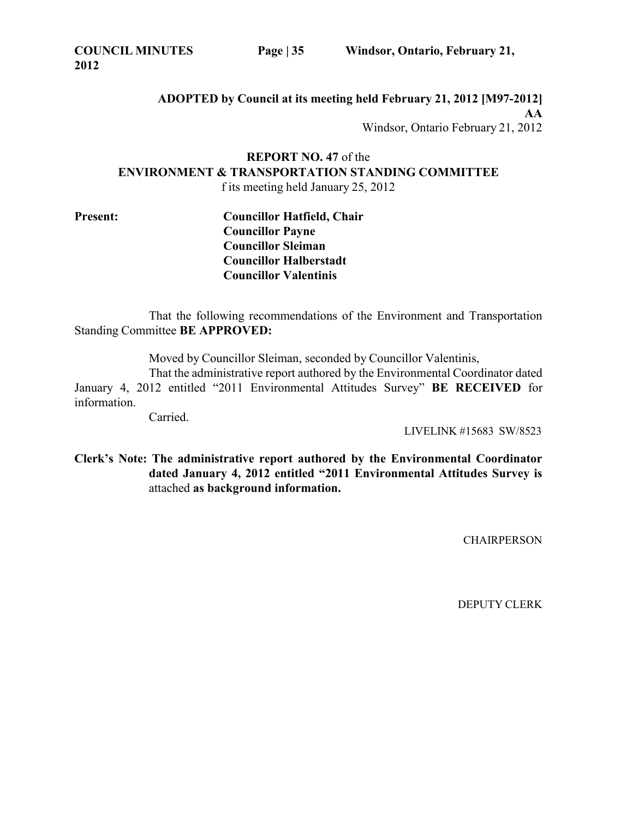**ADOPTED by Council at its meeting held February 21, 2012 [M97-2012] AA** Windsor, Ontario February 21, 2012

**REPORT NO. 47** of the **ENVIRONMENT & TRANSPORTATION STANDING COMMITTEE** f its meeting held January 25, 2012

**Present: Councillor Hatfield, Chair Councillor Payne Councillor Sleiman Councillor Halberstadt Councillor Valentinis**

That the following recommendations of the Environment and Transportation Standing Committee **BE APPROVED:**

Moved by Councillor Sleiman, seconded by Councillor Valentinis,

That the administrative report authored by the Environmental Coordinator dated January 4, 2012 entitled "2011 Environmental Attitudes Survey" **BE RECEIVED** for information.

Carried.

LIVELINK #15683 SW/8523

**Clerk's Note: The administrative report authored by the Environmental Coordinator dated January 4, 2012 entitled "2011 Environmental Attitudes Survey is** attached **as background information.**

**CHAIRPERSON**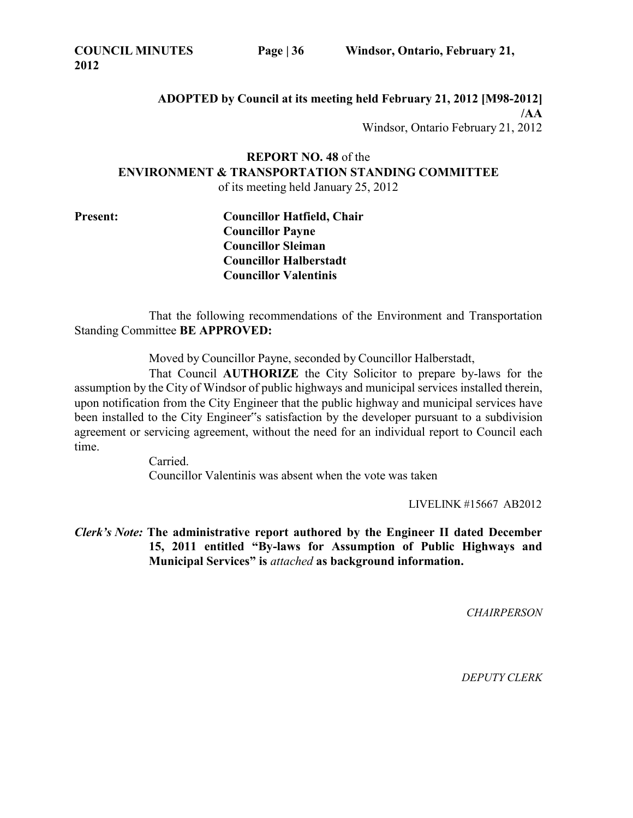**ADOPTED by Council at its meeting held February 21, 2012 [M98-2012] /AA** Windsor, Ontario February 21, 2012

# **REPORT NO. 48** of the **ENVIRONMENT & TRANSPORTATION STANDING COMMITTEE**

of its meeting held January 25, 2012

**Present: Councillor Hatfield, Chair Councillor Payne Councillor Sleiman Councillor Halberstadt Councillor Valentinis**

That the following recommendations of the Environment and Transportation Standing Committee **BE APPROVED:**

Moved by Councillor Payne, seconded by Councillor Halberstadt,

That Council **AUTHORIZE** the City Solicitor to prepare by-laws for the assumption by the City of Windsor of public highways and municipal services installed therein, upon notification from the City Engineer that the public highway and municipal services have been installed to the City Engineer"s satisfaction by the developer pursuant to a subdivision agreement or servicing agreement, without the need for an individual report to Council each time.

> Carried. Councillor Valentinis was absent when the vote was taken

> > LIVELINK #15667 AB2012

*Clerk's Note:* **The administrative report authored by the Engineer II dated December 15, 2011 entitled "By-laws for Assumption of Public Highways and Municipal Services" is** *attached* **as background information.**

*CHAIRPERSON*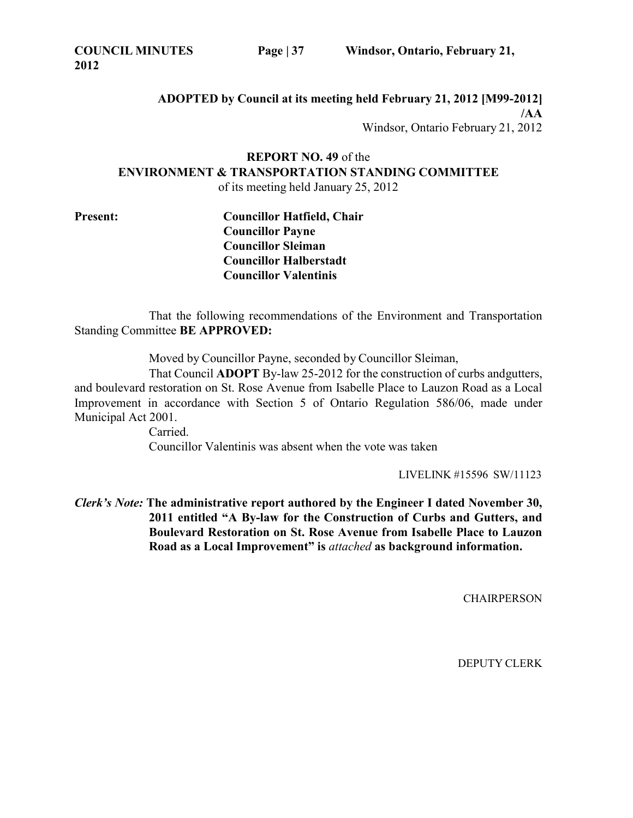**ADOPTED by Council at its meeting held February 21, 2012 [M99-2012] /AA** Windsor, Ontario February 21, 2012

# **REPORT NO. 49** of the **ENVIRONMENT & TRANSPORTATION STANDING COMMITTEE**

of its meeting held January 25, 2012

**Present: Councillor Hatfield, Chair Councillor Payne Councillor Sleiman Councillor Halberstadt Councillor Valentinis**

That the following recommendations of the Environment and Transportation Standing Committee **BE APPROVED:**

Moved by Councillor Payne, seconded by Councillor Sleiman,

That Council **ADOPT** By-law 25-2012 for the construction of curbs andgutters, and boulevard restoration on St. Rose Avenue from Isabelle Place to Lauzon Road as a Local Improvement in accordance with Section 5 of Ontario Regulation 586/06, made under Municipal Act 2001.

Carried. Councillor Valentinis was absent when the vote was taken

LIVELINK #15596 SW/11123

*Clerk's Note:* **The administrative report authored by the Engineer I dated November 30, 2011 entitled "A By-law for the Construction of Curbs and Gutters, and Boulevard Restoration on St. Rose Avenue from Isabelle Place to Lauzon Road as a Local Improvement" is** *attached* **as background information.**

**CHAIRPERSON**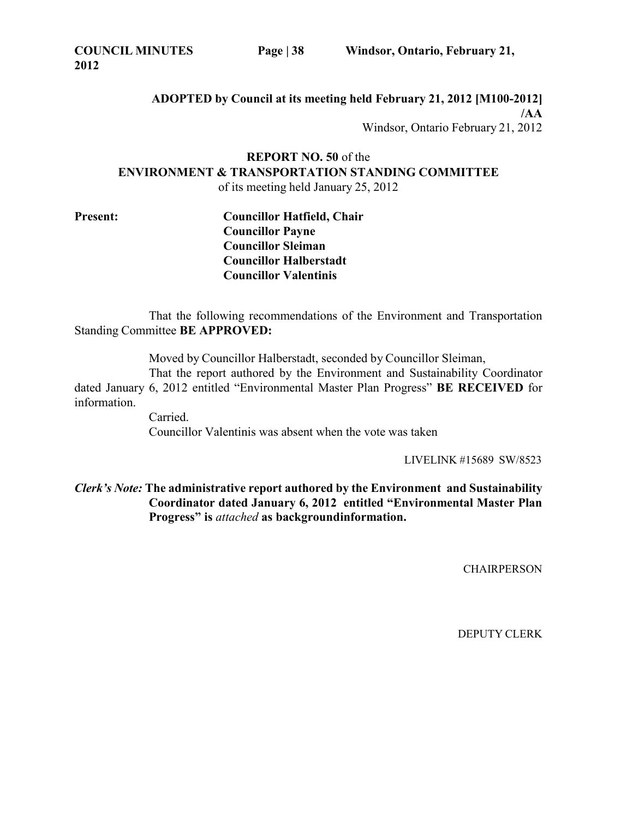**COUNCIL MINUTES 2012**

**ADOPTED by Council at its meeting held February 21, 2012 [M100-2012] /AA** Windsor, Ontario February 21, 2012

**REPORT NO. 50** of the **ENVIRONMENT & TRANSPORTATION STANDING COMMITTEE** of its meeting held January 25, 2012

**Present: Councillor Hatfield, Chair Councillor Payne Councillor Sleiman Councillor Halberstadt Councillor Valentinis**

That the following recommendations of the Environment and Transportation Standing Committee **BE APPROVED:**

Moved by Councillor Halberstadt, seconded by Councillor Sleiman,

That the report authored by the Environment and Sustainability Coordinator dated January 6, 2012 entitled "Environmental Master Plan Progress" **BE RECEIVED** for information.

> Carried. Councillor Valentinis was absent when the vote was taken

> > LIVELINK #15689 SW/8523

*Clerk's Note:* **The administrative report authored by the Environment and Sustainability Coordinator dated January 6, 2012 entitled "Environmental Master Plan Progress" is** *attached* **as backgroundinformation.**

**CHAIRPERSON**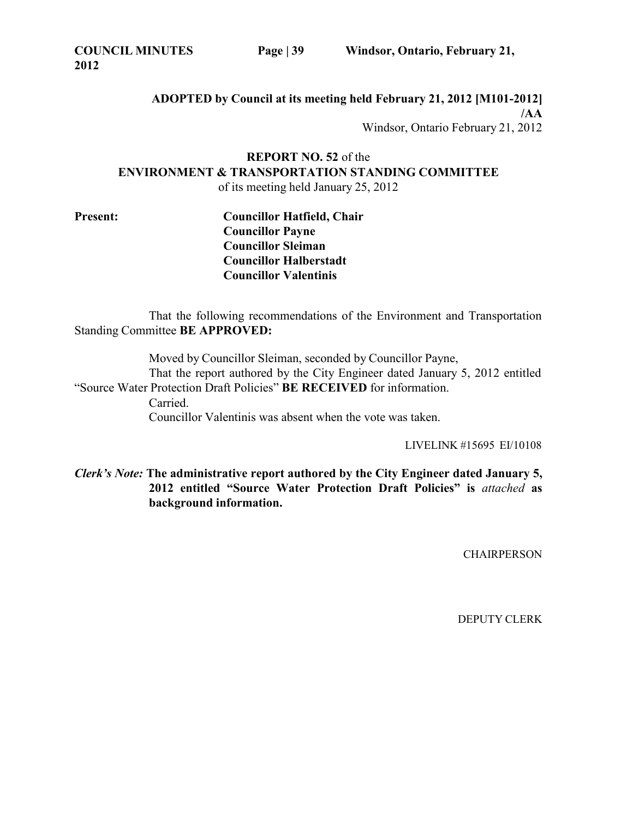**COUNCIL MINUTES 2012**

**ADOPTED by Council at its meeting held February 21, 2012 [M101-2012] /AA** Windsor, Ontario February 21, 2012

**REPORT NO. 52** of the **ENVIRONMENT & TRANSPORTATION STANDING COMMITTEE** of its meeting held January 25, 2012

**Present: Councillor Hatfield, Chair Councillor Payne Councillor Sleiman Councillor Halberstadt Councillor Valentinis**

That the following recommendations of the Environment and Transportation Standing Committee **BE APPROVED:**

Moved by Councillor Sleiman, seconded by Councillor Payne, That the report authored by the City Engineer dated January 5, 2012 entitled "Source Water Protection Draft Policies" **BE RECEIVED** for information. Carried. Councillor Valentinis was absent when the vote was taken.

LIVELINK #15695 EI/10108

*Clerk's Note:* **The administrative report authored by the City Engineer dated January 5, 2012 entitled "Source Water Protection Draft Policies" is** *attached* **as background information.**

**CHAIRPERSON**